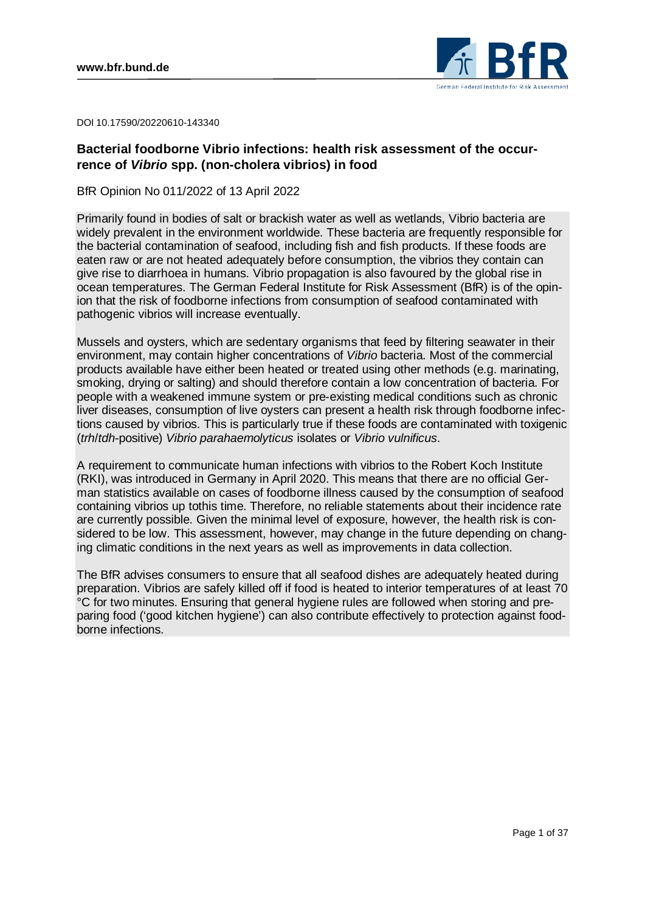

DOI 10.17590/20220610-143340

# **Bacterial foodborne Vibrio infections: health risk assessment of the occurrence of** *Vibrio* **spp. (non-cholera vibrios) in food**

BfR Opinion No 011/2022 of 13 April 2022

Primarily found in bodies of salt or brackish water as well as wetlands, Vibrio bacteria are widely prevalent in the environment worldwide. These bacteria are frequently responsible for the bacterial contamination of seafood, including fish and fish products. If these foods are eaten raw or are not heated adequately before consumption, the vibrios they contain can give rise to diarrhoea in humans. Vibrio propagation is also favoured by the global rise in ocean temperatures. The German Federal Institute for Risk Assessment (BfR) is of the opinion that the risk of foodborne infections from consumption of seafood contaminated with pathogenic vibrios will increase eventually.

Mussels and oysters, which are sedentary organisms that feed by filtering seawater in their environment, may contain higher concentrations of *Vibrio* bacteria. Most of the commercial products available have either been heated or treated using other methods (e.g. marinating, smoking, drying or salting) and should therefore contain a low concentration of bacteria. For people with a weakened immune system or pre-existing medical conditions such as chronic liver diseases, consumption of live oysters can present a health risk through foodborne infections caused by vibrios. This is particularly true if these foods are contaminated with toxigenic (*trh*/*tdh*-positive) *Vibrio parahaemolyticus* isolates or *Vibrio vulnificus*.

A requirement to communicate human infections with vibrios to the Robert Koch Institute (RKI), was introduced in Germany in April 2020. This means that there are no official German statistics available on cases of foodborne illness caused by the consumption of seafood containing vibrios up tothis time. Therefore, no reliable statements about their incidence rate are currently possible. Given the minimal level of exposure, however, the health risk is considered to be low. This assessment, however, may change in the future depending on changing climatic conditions in the next years as well as improvements in data collection.

The BfR advises consumers to ensure that all seafood dishes are adequately heated during preparation. Vibrios are safely killed off if food is heated to interior temperatures of at least 70 °C for two minutes. Ensuring that general hygiene rules are followed when storing and preparing food ('good kitchen hygiene') can also contribute effectively to protection against foodborne infections.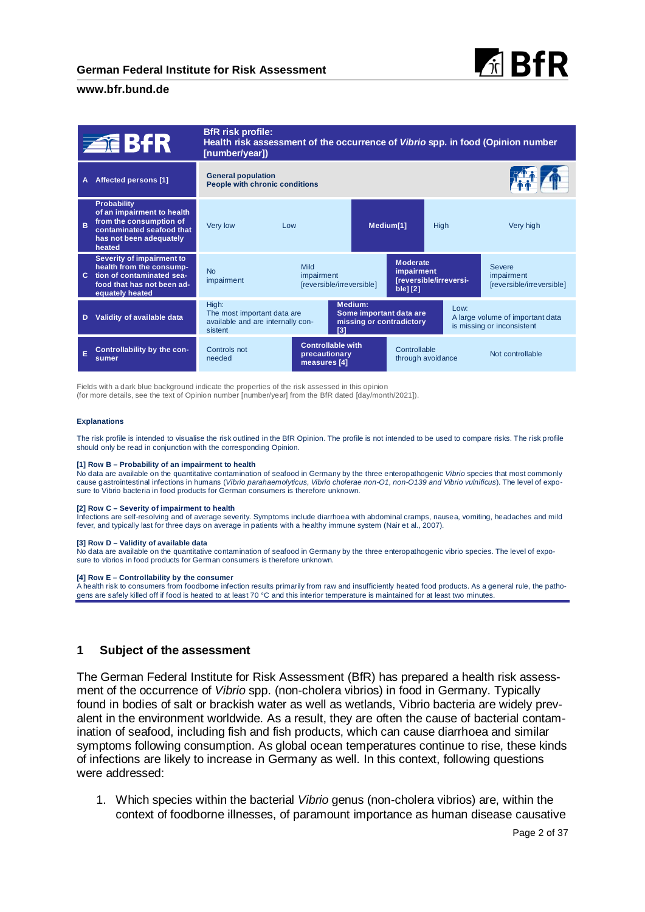



Fields with a dark blue background indicate the properties of the risk assessed in this opinion (for more details, see the text of Opinion number [number/year] from the BfR dated [day/month/2021]).

#### **Explanations**

The risk profile is intended to visualise the risk outlined in the BfR Opinion. The profile is not intended to be used to compare risks. The risk profile should only be read in conjunction with the corresponding Opinion.

#### **[1] Row B – Probability of an impairment to health**

No data are available on the quantitative contamination of seafood in Germany by the three enteropathogenic *Vibrio* species that most commonly cause gastrointestinal infections in humans (*Vibrio parahaemolyticus, Vibrio cholerae non-O1, non-O139 and Vibrio vulnificus*). The level of exposure to Vibrio bacteria in food products for German consumers is therefore unknown.

#### **[2] Row C – Severity of impairment to health**

Infections are self-resolving and of average severity. Symptoms include diarrhoea with abdominal cramps, nausea, vomiting, headaches and mild fever, and typically last for three days on average in patients with a healthy immune system (Nair et al., 2007).

#### **[3] Row D – Validity of available data**

No data are available on the quantitative contamination of seafood in Germany by the three enteropathogenic vibrio species. The level of exposure to vibrios in food products for German consumers is therefore unknown.

#### **[4] Row E – Controllability by the consumer**

A health risk to consumers from foodborne infection results primarily from raw and insufficiently heated food products. As a general rule, the pathogens are safely killed off if food is heated to at least 70 °C and this interior temperature is maintained for at least two minutes.

#### **1 Subject of the assessment**

The German Federal Institute for Risk Assessment (BfR) has prepared a health risk assessment of the occurrence of *Vibrio* spp. (non-cholera vibrios) in food in Germany. Typically found in bodies of salt or brackish water as well as wetlands, Vibrio bacteria are widely prevalent in the environment worldwide. As a result, they are often the cause of bacterial contamination of seafood, including fish and fish products, which can cause diarrhoea and similar symptoms following consumption. As global ocean temperatures continue to rise, these kinds of infections are likely to increase in Germany as well. In this context, following questions were addressed:

1. Which species within the bacterial *Vibrio* genus (non-cholera vibrios) are, within the context of foodborne illnesses, of paramount importance as human disease causative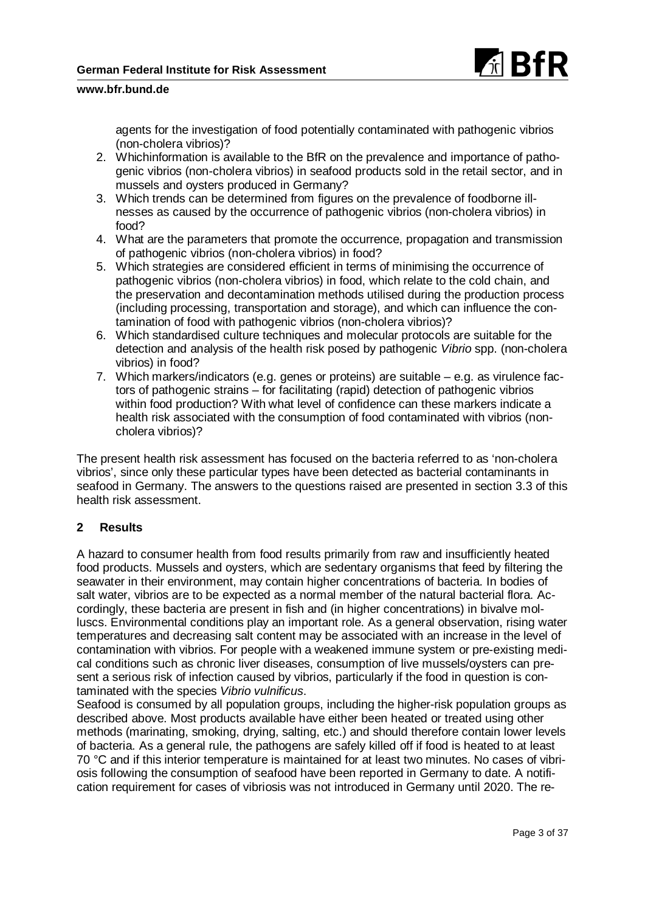

agents for the investigation of food potentially contaminated with pathogenic vibrios (non-cholera vibrios)?

- 2. Whichinformation is available to the BfR on the prevalence and importance of pathogenic vibrios (non-cholera vibrios) in seafood products sold in the retail sector, and in mussels and oysters produced in Germany?
- 3. Which trends can be determined from figures on the prevalence of foodborne illnesses as caused by the occurrence of pathogenic vibrios (non-cholera vibrios) in food?
- 4. What are the parameters that promote the occurrence, propagation and transmission of pathogenic vibrios (non-cholera vibrios) in food?
- 5. Which strategies are considered efficient in terms of minimising the occurrence of pathogenic vibrios (non-cholera vibrios) in food, which relate to the cold chain, and the preservation and decontamination methods utilised during the production process (including processing, transportation and storage), and which can influence the contamination of food with pathogenic vibrios (non-cholera vibrios)?
- 6. Which standardised culture techniques and molecular protocols are suitable for the detection and analysis of the health risk posed by pathogenic *Vibrio* spp. (non-cholera vibrios) in food?
- 7. Which markers/indicators (e.g. genes or proteins) are suitable e.g. as virulence factors of pathogenic strains – for facilitating (rapid) detection of pathogenic vibrios within food production? With what level of confidence can these markers indicate a health risk associated with the consumption of food contaminated with vibrios (noncholera vibrios)?

The present health risk assessment has focused on the bacteria referred to as 'non-cholera vibrios', since only these particular types have been detected as bacterial contaminants in seafood in Germany. The answers to the questions raised are presented in section 3.3 of this health risk assessment.

# **2 Results**

A hazard to consumer health from food results primarily from raw and insufficiently heated food products. Mussels and oysters, which are sedentary organisms that feed by filtering the seawater in their environment, may contain higher concentrations of bacteria. In bodies of salt water, vibrios are to be expected as a normal member of the natural bacterial flora. Accordingly, these bacteria are present in fish and (in higher concentrations) in bivalve molluscs. Environmental conditions play an important role. As a general observation, rising water temperatures and decreasing salt content may be associated with an increase in the level of contamination with vibrios. For people with a weakened immune system or pre-existing medical conditions such as chronic liver diseases, consumption of live mussels/oysters can present a serious risk of infection caused by vibrios, particularly if the food in question is contaminated with the species *Vibrio vulnificus*.

Seafood is consumed by all population groups, including the higher-risk population groups as described above. Most products available have either been heated or treated using other methods (marinating, smoking, drying, salting, etc.) and should therefore contain lower levels of bacteria. As a general rule, the pathogens are safely killed off if food is heated to at least 70 °C and if this interior temperature is maintained for at least two minutes. No cases of vibriosis following the consumption of seafood have been reported in Germany to date. A notification requirement for cases of vibriosis was not introduced in Germany until 2020. The re-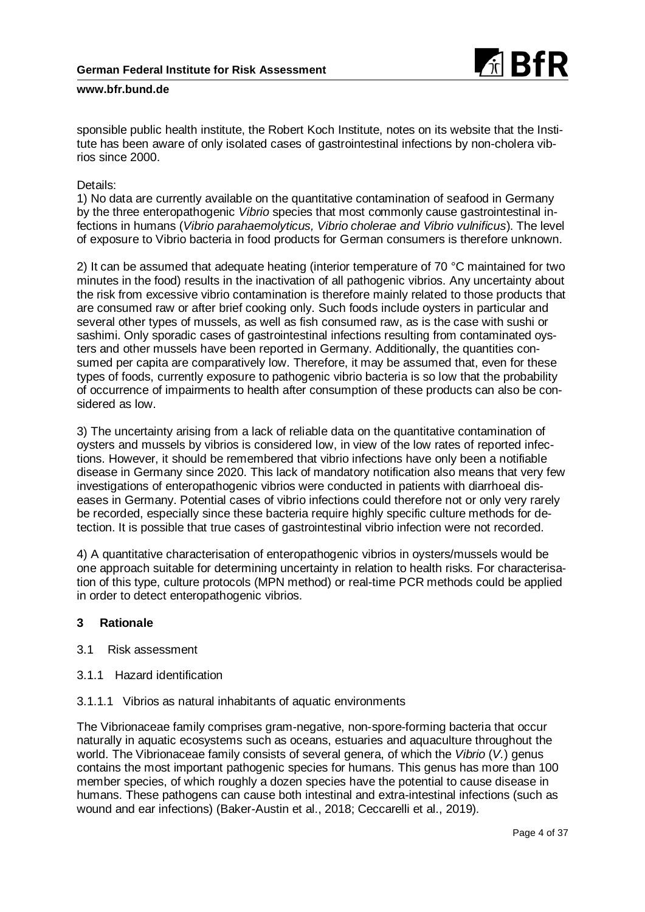

sponsible public health institute, the Robert Koch Institute, notes on its website that the Institute has been aware of only isolated cases of gastrointestinal infections by non-cholera vibrios since 2000.

## Details:

1) No data are currently available on the quantitative contamination of seafood in Germany by the three enteropathogenic *Vibrio* species that most commonly cause gastrointestinal infections in humans (*Vibrio parahaemolyticus, Vibrio cholerae and Vibrio vulnificus*). The level of exposure to Vibrio bacteria in food products for German consumers is therefore unknown.

2) It can be assumed that adequate heating (interior temperature of 70 °C maintained for two minutes in the food) results in the inactivation of all pathogenic vibrios. Any uncertainty about the risk from excessive vibrio contamination is therefore mainly related to those products that are consumed raw or after brief cooking only. Such foods include oysters in particular and several other types of mussels, as well as fish consumed raw, as is the case with sushi or sashimi. Only sporadic cases of gastrointestinal infections resulting from contaminated oysters and other mussels have been reported in Germany. Additionally, the quantities consumed per capita are comparatively low. Therefore, it may be assumed that, even for these types of foods, currently exposure to pathogenic vibrio bacteria is so low that the probability of occurrence of impairments to health after consumption of these products can also be considered as low.

3) The uncertainty arising from a lack of reliable data on the quantitative contamination of oysters and mussels by vibrios is considered low, in view of the low rates of reported infections. However, it should be remembered that vibrio infections have only been a notifiable disease in Germany since 2020. This lack of mandatory notification also means that very few investigations of enteropathogenic vibrios were conducted in patients with diarrhoeal diseases in Germany. Potential cases of vibrio infections could therefore not or only very rarely be recorded, especially since these bacteria require highly specific culture methods for detection. It is possible that true cases of gastrointestinal vibrio infection were not recorded.

4) A quantitative characterisation of enteropathogenic vibrios in oysters/mussels would be one approach suitable for determining uncertainty in relation to health risks. For characterisation of this type, culture protocols (MPN method) or real-time PCR methods could be applied in order to detect enteropathogenic vibrios.

# **3 Rationale**

- 3.1 Risk assessment
- 3.1.1 Hazard identification
- 3.1.1.1 Vibrios as natural inhabitants of aquatic environments

The Vibrionaceae family comprises gram-negative, non-spore-forming bacteria that occur naturally in aquatic ecosystems such as oceans, estuaries and aquaculture throughout the world. The Vibrionaceae family consists of several genera, of which the *Vibrio* (*V.*) genus contains the most important pathogenic species for humans. This genus has more than 100 member species, of which roughly a dozen species have the potential to cause disease in humans. These pathogens can cause both intestinal and extra-intestinal infections (such as wound and ear infections) (Baker-Austin et al., 2018; Ceccarelli et al., 2019).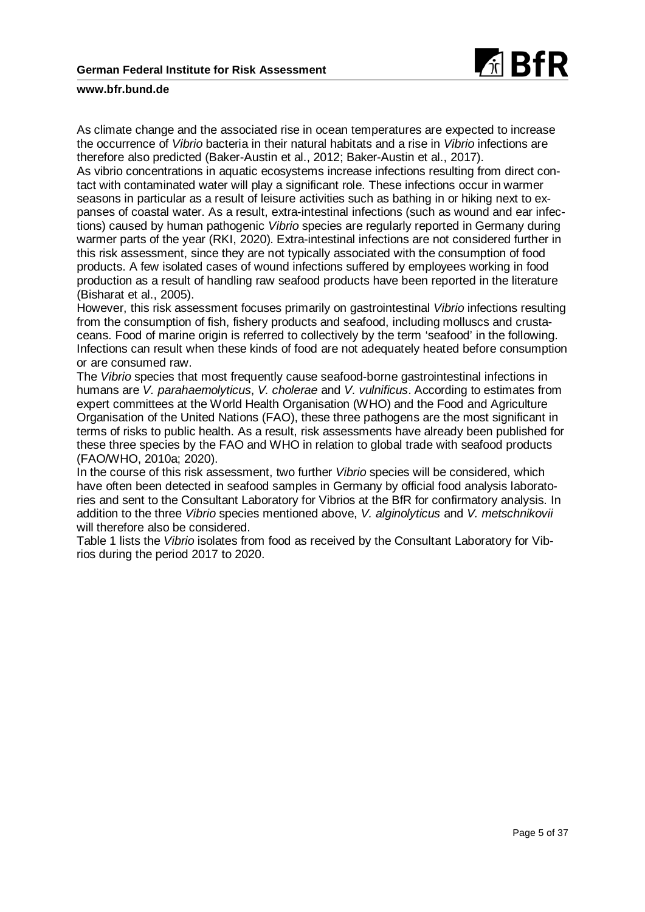

As climate change and the associated rise in ocean temperatures are expected to increase the occurrence of *Vibrio* bacteria in their natural habitats and a rise in *Vibrio* infections are therefore also predicted (Baker-Austin et al., 2012; Baker-Austin et al., 2017).

As vibrio concentrations in aquatic ecosystems increase infections resulting from direct contact with contaminated water will play a significant role. These infections occur in warmer seasons in particular as a result of leisure activities such as bathing in or hiking next to expanses of coastal water. As a result, extra-intestinal infections (such as wound and ear infections) caused by human pathogenic *Vibrio* species are regularly reported in Germany during warmer parts of the year (RKI, 2020). Extra-intestinal infections are not considered further in this risk assessment, since they are not typically associated with the consumption of food products. A few isolated cases of wound infections suffered by employees working in food production as a result of handling raw seafood products have been reported in the literature (Bisharat et al., 2005).

However, this risk assessment focuses primarily on gastrointestinal *Vibrio* infections resulting from the consumption of fish, fishery products and seafood, including molluscs and crustaceans. Food of marine origin is referred to collectively by the term 'seafood' in the following. Infections can result when these kinds of food are not adequately heated before consumption or are consumed raw.

The *Vibrio* species that most frequently cause seafood-borne gastrointestinal infections in humans are *V. parahaemolyticus*, *V. cholerae* and *V. vulnificus*. According to estimates from expert committees at the World Health Organisation (WHO) and the Food and Agriculture Organisation of the United Nations (FAO), these three pathogens are the most significant in terms of risks to public health. As a result, risk assessments have already been published for these three species by the FAO and WHO in relation to global trade with seafood products (FAO/WHO, 2010a; 2020).

In the course of this risk assessment, two further *Vibrio* species will be considered, which have often been detected in seafood samples in Germany by official food analysis laboratories and sent to the Consultant Laboratory for Vibrios at the BfR for confirmatory analysis. In addition to the three *Vibrio* species mentioned above, *V. alginolyticus* and *V. metschnikovii* will therefore also be considered.

Table 1 lists the *Vibrio* isolates from food as received by the Consultant Laboratory for Vibrios during the period 2017 to 2020.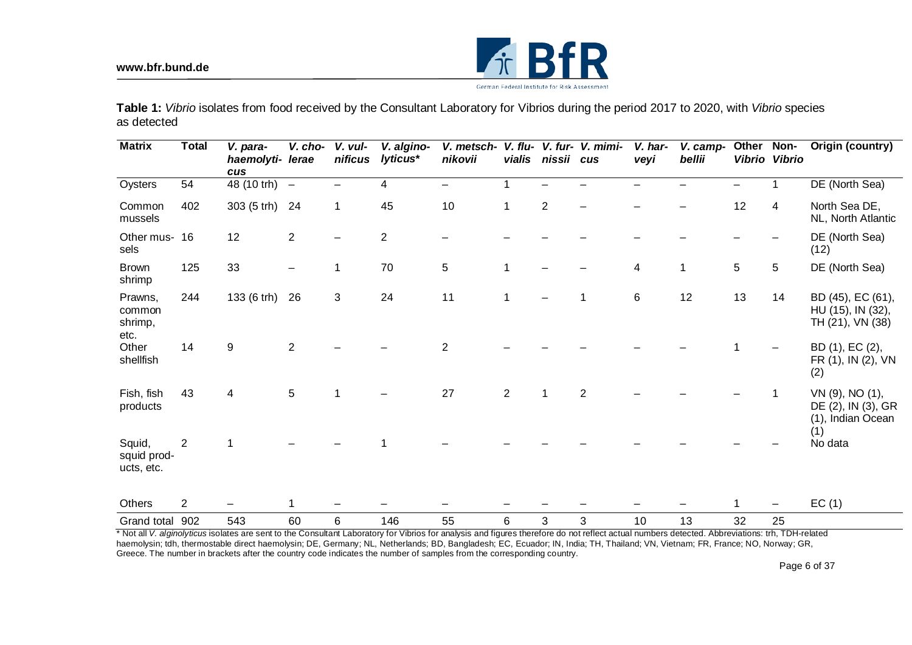

**Table 1:** *Vibrio* isolates from food received by the Consultant Laboratory for Vibrios during the period 2017 to 2020, with *Vibrio* species as detected

| <b>Matrix</b>                        | <b>Total</b>   | V. para-<br>haemolyti-<br>cus | V. cho-<br>lerae | V. vul-<br>nificus | V. algino-<br>lyticus* | V. metsch-<br>nikovii    | V. flu-<br>vialis | nissii cus     | V. fur- V. mimi- | V. har-<br>veyi | V. camp-<br>bellii | Other<br><b>Vibrio</b> | Non-<br><b>Vibrio</b> | Origin (country)                                                  |
|--------------------------------------|----------------|-------------------------------|------------------|--------------------|------------------------|--------------------------|-------------------|----------------|------------------|-----------------|--------------------|------------------------|-----------------------|-------------------------------------------------------------------|
| Oysters                              | 54             | 48 (10 trh) -                 |                  |                    | 4                      | $\overline{\phantom{0}}$ |                   |                |                  |                 |                    |                        |                       | DE (North Sea)                                                    |
| Common<br>mussels                    | 402            | 303 (5 trh)                   | 24               | 1                  | 45                     | 10                       | 1                 | $\overline{2}$ |                  |                 |                    | 12                     | 4                     | North Sea DE,<br>NL, North Atlantic                               |
| Other mus- 16<br>sels                |                | 12                            | $\overline{2}$   |                    | 2                      |                          |                   |                |                  |                 |                    |                        |                       | DE (North Sea)<br>(12)                                            |
| <b>Brown</b><br>shrimp               | 125            | 33                            |                  | 1                  | 70                     | 5                        | $\mathbf{1}$      |                |                  | $\overline{4}$  | 1                  | 5                      | 5                     | DE (North Sea)                                                    |
| Prawns,<br>common<br>shrimp,<br>etc. | 244            | 133 (6 trh)                   | 26               | 3                  | 24                     | 11                       | 1                 |                |                  | $\,6$           | 12                 | 13                     | 14                    | BD (45), EC (61),<br>HU (15), IN (32),<br>TH (21), VN (38)        |
| Other<br>shellfish                   | 14             | 9                             | $\overline{2}$   |                    |                        | $\overline{2}$           |                   |                |                  |                 |                    |                        |                       | BD (1), EC (2),<br>FR (1), IN (2), VN<br>(2)                      |
| Fish, fish<br>products               | 43             | 4                             | 5                |                    |                        | 27                       | $\overline{2}$    | 1              | $\overline{2}$   |                 |                    |                        |                       | VN (9), NO (1),<br>DE (2), IN (3), GR<br>(1), Indian Ocean<br>(1) |
| Squid,<br>squid prod-<br>ucts, etc.  | 2              |                               |                  |                    |                        |                          |                   |                |                  |                 |                    |                        |                       | No data                                                           |
| <b>Others</b>                        | $\overline{2}$ |                               | 1                |                    |                        |                          |                   |                |                  |                 |                    |                        | $\qquad \qquad$       | EC(1)                                                             |
| Grand total                          | 902            | 543                           | 60               | 6                  | 146                    | 55                       | 6                 | 3              | 3                | 10              | 13                 | 32                     | 25                    |                                                                   |

\* Not all *V. alginolyticus* isolates are sent to the Consultant Laboratory for Vibrios for analysis and figures therefore do not reflect actual numbers detected. Abbreviations: trh, TDH-related haemolysin; tdh, thermostable direct haemolysin; DE, Germany; NL, Netherlands; BD, Bangladesh; EC, Ecuador; IN, India; TH, Thailand; VN, Vietnam; FR, France; NO, Norway; GR, Greece. The number in brackets after the country code indicates the number of samples from the corresponding country.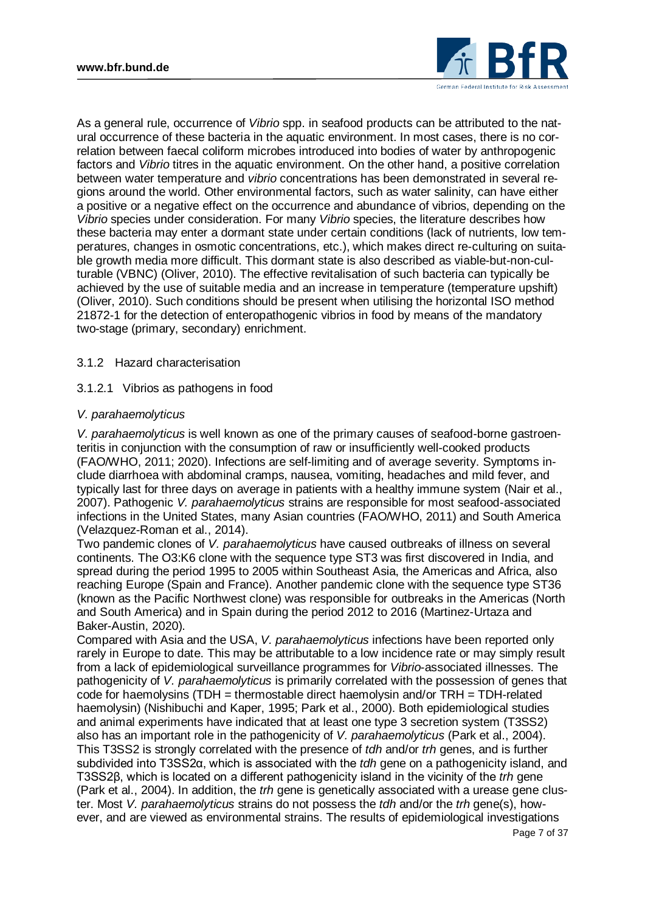

As a general rule, occurrence of *Vibrio* spp. in seafood products can be attributed to the natural occurrence of these bacteria in the aquatic environment. In most cases, there is no correlation between faecal coliform microbes introduced into bodies of water by anthropogenic factors and *Vibrio* titres in the aquatic environment. On the other hand, a positive correlation between water temperature and *vibrio* concentrations has been demonstrated in several regions around the world. Other environmental factors, such as water salinity, can have either a positive or a negative effect on the occurrence and abundance of vibrios, depending on the *Vibrio* species under consideration. For many *Vibrio* species, the literature describes how these bacteria may enter a dormant state under certain conditions (lack of nutrients, low temperatures, changes in osmotic concentrations, etc.), which makes direct re-culturing on suitable growth media more difficult. This dormant state is also described as viable-but-non-culturable (VBNC) (Oliver, 2010). The effective revitalisation of such bacteria can typically be achieved by the use of suitable media and an increase in temperature (temperature upshift) (Oliver, 2010). Such conditions should be present when utilising the horizontal ISO method 21872-1 for the detection of enteropathogenic vibrios in food by means of the mandatory two-stage (primary, secondary) enrichment.

## 3.1.2 Hazard characterisation

## 3.1.2.1 Vibrios as pathogens in food

## *V. parahaemolyticus*

*V. parahaemolyticus* is well known as one of the primary causes of seafood-borne gastroenteritis in conjunction with the consumption of raw or insufficiently well-cooked products (FAO/WHO, 2011; 2020). Infections are self-limiting and of average severity. Symptoms include diarrhoea with abdominal cramps, nausea, vomiting, headaches and mild fever, and typically last for three days on average in patients with a healthy immune system (Nair et al., 2007). Pathogenic *V. parahaemolyticus* strains are responsible for most seafood-associated infections in the United States, many Asian countries (FAO/WHO, 2011) and South America (Velazquez-Roman et al., 2014).

Two pandemic clones of *V. parahaemolyticus* have caused outbreaks of illness on several continents. The O3:K6 clone with the sequence type ST3 was first discovered in India, and spread during the period 1995 to 2005 within Southeast Asia, the Americas and Africa, also reaching Europe (Spain and France). Another pandemic clone with the sequence type ST36 (known as the Pacific Northwest clone) was responsible for outbreaks in the Americas (North and South America) and in Spain during the period 2012 to 2016 (Martinez-Urtaza and Baker-Austin, 2020).

Compared with Asia and the USA, *V. parahaemolyticus* infections have been reported only rarely in Europe to date. This may be attributable to a low incidence rate or may simply result from a lack of epidemiological surveillance programmes for *Vibrio*-associated illnesses. The pathogenicity of *V. parahaemolyticus* is primarily correlated with the possession of genes that code for haemolysins (TDH = thermostable direct haemolysin and/or TRH = TDH-related haemolysin) (Nishibuchi and Kaper, 1995; Park et al., 2000). Both epidemiological studies and animal experiments have indicated that at least one type 3 secretion system (T3SS2) also has an important role in the pathogenicity of *V. parahaemolyticus* (Park et al., 2004). This T3SS2 is strongly correlated with the presence of *tdh* and/or *trh* genes, and is further subdivided into T3SS2α, which is associated with the *tdh* gene on a pathogenicity island, and T3SS2β, which is located on a different pathogenicity island in the vicinity of the *trh* gene (Park et al., 2004). In addition, the *trh* gene is genetically associated with a urease gene cluster. Most *V. parahaemolyticus* strains do not possess the *tdh* and/or the *trh* gene(s), however, and are viewed as environmental strains. The results of epidemiological investigations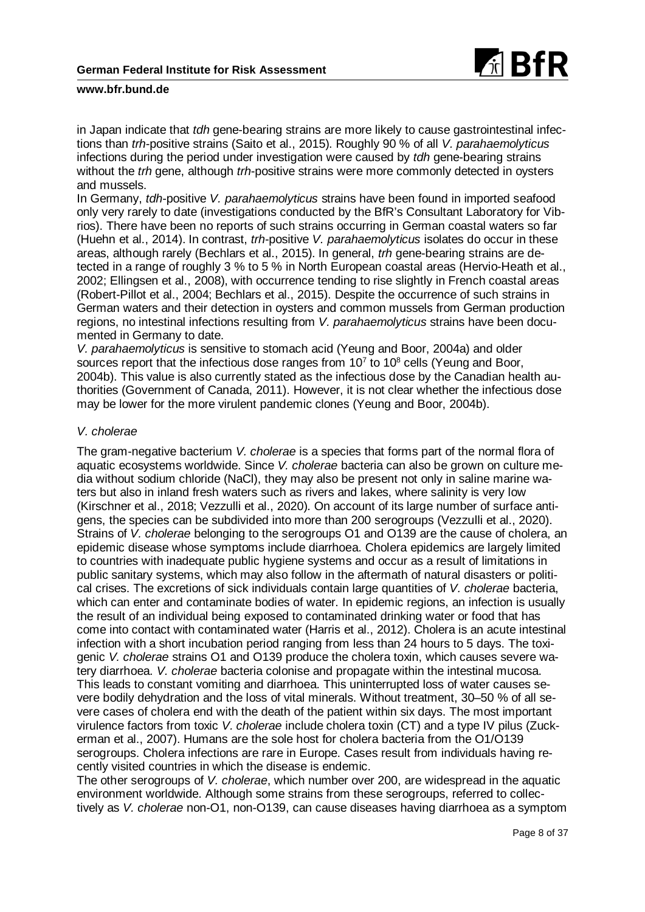

in Japan indicate that *tdh* gene-bearing strains are more likely to cause gastrointestinal infections than *trh*-positive strains (Saito et al., 2015). Roughly 90 % of all *V. parahaemolyticus* infections during the period under investigation were caused by *tdh* gene-bearing strains without the *trh* gene, although *trh*-positive strains were more commonly detected in oysters and mussels.

In Germany, *tdh*-positive *V. parahaemolyticus* strains have been found in imported seafood only very rarely to date (investigations conducted by the BfR's Consultant Laboratory for Vibrios). There have been no reports of such strains occurring in German coastal waters so far (Huehn et al., 2014). In contrast, *trh*-positive *V. parahaemolyticus* isolates do occur in these areas, although rarely (Bechlars et al., 2015). In general, *trh* gene-bearing strains are detected in a range of roughly 3 % to 5 % in North European coastal areas (Hervio-Heath et al., 2002; Ellingsen et al., 2008), with occurrence tending to rise slightly in French coastal areas (Robert-Pillot et al., 2004; Bechlars et al., 2015). Despite the occurrence of such strains in German waters and their detection in oysters and common mussels from German production regions, no intestinal infections resulting from *V. parahaemolyticus* strains have been documented in Germany to date.

*V. parahaemolyticus* is sensitive to stomach acid (Yeung and Boor, 2004a) and older sources report that the infectious dose ranges from  $10<sup>7</sup>$  to  $10<sup>8</sup>$  cells (Yeung and Boor, 2004b). This value is also currently stated as the infectious dose by the Canadian health authorities (Government of Canada, 2011). However, it is not clear whether the infectious dose may be lower for the more virulent pandemic clones (Yeung and Boor, 2004b).

## *V. cholerae*

The gram-negative bacterium *V. cholerae* is a species that forms part of the normal flora of aquatic ecosystems worldwide. Since *V. cholerae* bacteria can also be grown on culture media without sodium chloride (NaCl), they may also be present not only in saline marine waters but also in inland fresh waters such as rivers and lakes, where salinity is very low (Kirschner et al., 2018; Vezzulli et al., 2020). On account of its large number of surface antigens, the species can be subdivided into more than 200 serogroups (Vezzulli et al., 2020). Strains of *V. cholerae* belonging to the serogroups O1 and O139 are the cause of cholera, an epidemic disease whose symptoms include diarrhoea. Cholera epidemics are largely limited to countries with inadequate public hygiene systems and occur as a result of limitations in public sanitary systems, which may also follow in the aftermath of natural disasters or political crises. The excretions of sick individuals contain large quantities of *V. cholerae* bacteria, which can enter and contaminate bodies of water. In epidemic regions, an infection is usually the result of an individual being exposed to contaminated drinking water or food that has come into contact with contaminated water (Harris et al., 2012). Cholera is an acute intestinal infection with a short incubation period ranging from less than 24 hours to 5 days. The toxigenic *V. cholerae* strains O1 and O139 produce the cholera toxin, which causes severe watery diarrhoea. *V. cholerae* bacteria colonise and propagate within the intestinal mucosa. This leads to constant vomiting and diarrhoea. This uninterrupted loss of water causes severe bodily dehydration and the loss of vital minerals. Without treatment, 30–50 % of all severe cases of cholera end with the death of the patient within six days. The most important virulence factors from toxic *V. cholerae* include cholera toxin (CT) and a type IV pilus (Zuckerman et al., 2007). Humans are the sole host for cholera bacteria from the O1/O139 serogroups. Cholera infections are rare in Europe. Cases result from individuals having recently visited countries in which the disease is endemic.

The other serogroups of *V. cholerae*, which number over 200, are widespread in the aquatic environment worldwide. Although some strains from these serogroups, referred to collectively as *V. cholerae* non-O1, non-O139, can cause diseases having diarrhoea as a symptom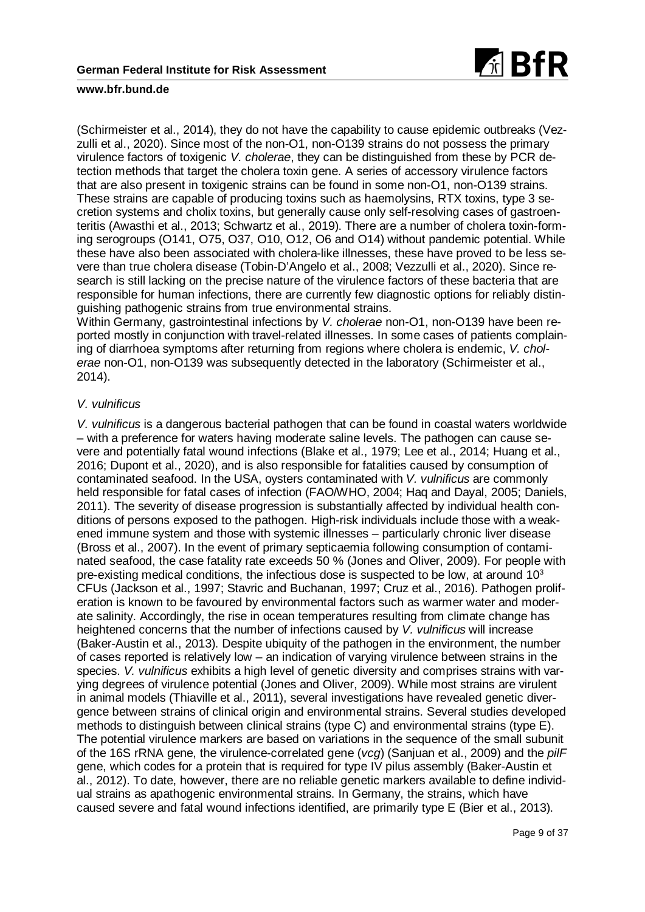

(Schirmeister et al., 2014), they do not have the capability to cause epidemic outbreaks (Vezzulli et al., 2020). Since most of the non-O1, non-O139 strains do not possess the primary virulence factors of toxigenic *V. cholerae*, they can be distinguished from these by PCR detection methods that target the cholera toxin gene. A series of accessory virulence factors that are also present in toxigenic strains can be found in some non-O1, non-O139 strains. These strains are capable of producing toxins such as haemolysins, RTX toxins, type 3 secretion systems and cholix toxins, but generally cause only self-resolving cases of gastroenteritis (Awasthi et al., 2013; Schwartz et al., 2019). There are a number of cholera toxin-forming serogroups (O141, O75, O37, O10, O12, O6 and O14) without pandemic potential. While these have also been associated with cholera-like illnesses, these have proved to be less severe than true cholera disease (Tobin-D'Angelo et al., 2008; Vezzulli et al., 2020). Since research is still lacking on the precise nature of the virulence factors of these bacteria that are responsible for human infections, there are currently few diagnostic options for reliably distinguishing pathogenic strains from true environmental strains.

Within Germany, gastrointestinal infections by *V. cholerae* non-O1, non-O139 have been reported mostly in conjunction with travel-related illnesses. In some cases of patients complaining of diarrhoea symptoms after returning from regions where cholera is endemic, *V. cholerae* non-O1, non-O139 was subsequently detected in the laboratory (Schirmeister et al., 2014).

## *V. vulnificus*

*V. vulnificus* is a dangerous bacterial pathogen that can be found in coastal waters worldwide – with a preference for waters having moderate saline levels. The pathogen can cause severe and potentially fatal wound infections (Blake et al., 1979; Lee et al., 2014; Huang et al., 2016; Dupont et al., 2020), and is also responsible for fatalities caused by consumption of contaminated seafood. In the USA, oysters contaminated with *V. vulnificus* are commonly held responsible for fatal cases of infection (FAO/WHO, 2004; Haq and Dayal, 2005; Daniels, 2011). The severity of disease progression is substantially affected by individual health conditions of persons exposed to the pathogen. High-risk individuals include those with a weakened immune system and those with systemic illnesses – particularly chronic liver disease (Bross et al., 2007). In the event of primary septicaemia following consumption of contaminated seafood, the case fatality rate exceeds 50 % (Jones and Oliver, 2009). For people with pre-existing medical conditions, the infectious dose is suspected to be low, at around  $10<sup>3</sup>$ CFUs (Jackson et al., 1997; Stavric and Buchanan, 1997; Cruz et al., 2016). Pathogen proliferation is known to be favoured by environmental factors such as warmer water and moderate salinity. Accordingly, the rise in ocean temperatures resulting from climate change has heightened concerns that the number of infections caused by *V. vulnificus* will increase (Baker-Austin et al., 2013). Despite ubiquity of the pathogen in the environment, the number of cases reported is relatively low – an indication of varying virulence between strains in the species. *V. vulnificus* exhibits a high level of genetic diversity and comprises strains with varying degrees of virulence potential (Jones and Oliver, 2009). While most strains are virulent in animal models (Thiaville et al., 2011), several investigations have revealed genetic divergence between strains of clinical origin and environmental strains. Several studies developed methods to distinguish between clinical strains (type C) and environmental strains (type E). The potential virulence markers are based on variations in the sequence of the small subunit of the 16S rRNA gene, the virulence-correlated gene (*vcg*) (Sanjuan et al., 2009) and the *pilF* gene, which codes for a protein that is required for type IV pilus assembly (Baker-Austin et al., 2012). To date, however, there are no reliable genetic markers available to define individual strains as apathogenic environmental strains. In Germany, the strains, which have caused severe and fatal wound infections identified, are primarily type E (Bier et al., 2013).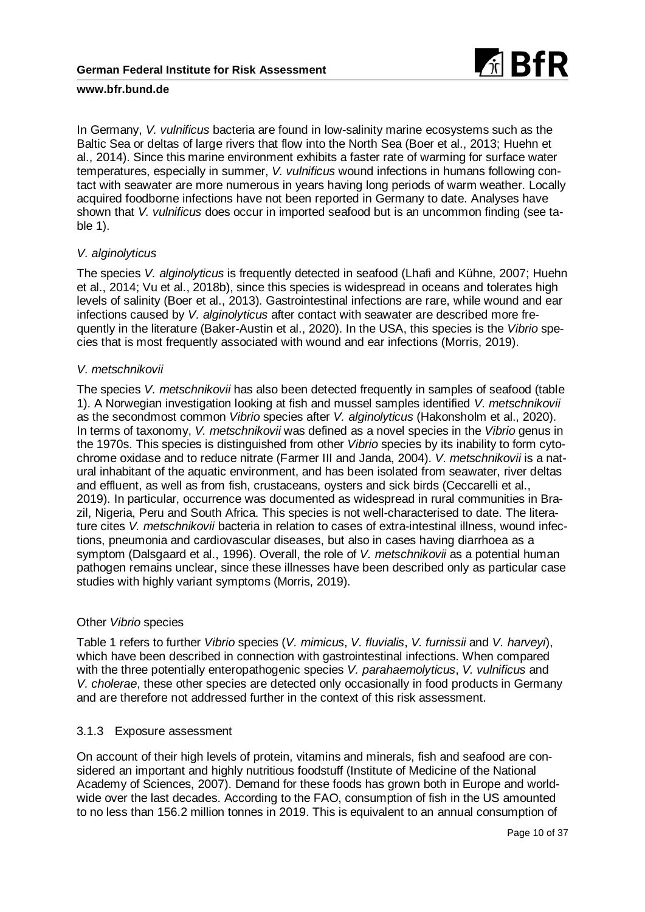

In Germany, *V. vulnificus* bacteria are found in low-salinity marine ecosystems such as the Baltic Sea or deltas of large rivers that flow into the North Sea (Boer et al., 2013; Huehn et al., 2014). Since this marine environment exhibits a faster rate of warming for surface water temperatures, especially in summer, *V. vulnificus* wound infections in humans following contact with seawater are more numerous in years having long periods of warm weather. Locally acquired foodborne infections have not been reported in Germany to date. Analyses have shown that *V. vulnificus* does occur in imported seafood but is an uncommon finding (see table 1).

## *V. alginolyticus*

The species *V. alginolyticus* is frequently detected in seafood (Lhafi and Kühne, 2007; Huehn et al., 2014; Vu et al., 2018b), since this species is widespread in oceans and tolerates high levels of salinity (Boer et al., 2013). Gastrointestinal infections are rare, while wound and ear infections caused by *V. alginolyticus* after contact with seawater are described more frequently in the literature (Baker-Austin et al., 2020). In the USA, this species is the *Vibrio* species that is most frequently associated with wound and ear infections (Morris, 2019).

## *V. metschnikovii*

The species *V. metschnikovii* has also been detected frequently in samples of seafood (table 1). A Norwegian investigation looking at fish and mussel samples identified *V. metschnikovii* as the secondmost common *Vibrio* species after *V. alginolyticus* (Hakonsholm et al., 2020). In terms of taxonomy, *V. metschnikovii* was defined as a novel species in the *Vibrio* genus in the 1970s. This species is distinguished from other *Vibrio* species by its inability to form cytochrome oxidase and to reduce nitrate (Farmer III and Janda, 2004). *V. metschnikovii* is a natural inhabitant of the aquatic environment, and has been isolated from seawater, river deltas and effluent, as well as from fish, crustaceans, oysters and sick birds (Ceccarelli et al., 2019). In particular, occurrence was documented as widespread in rural communities in Brazil, Nigeria, Peru and South Africa. This species is not well-characterised to date. The literature cites *V. metschnikovii* bacteria in relation to cases of extra-intestinal illness, wound infections, pneumonia and cardiovascular diseases, but also in cases having diarrhoea as a symptom (Dalsgaard et al., 1996). Overall, the role of *V. metschnikovii* as a potential human pathogen remains unclear, since these illnesses have been described only as particular case studies with highly variant symptoms (Morris, 2019).

## Other *Vibrio* species

Table 1 refers to further *Vibrio* species (*V. mimicus*, *V. fluvialis*, *V. furnissii* and *V. harveyi*), which have been described in connection with gastrointestinal infections. When compared with the three potentially enteropathogenic species *V. parahaemolyticus*, *V. vulnificus* and *V. cholerae*, these other species are detected only occasionally in food products in Germany and are therefore not addressed further in the context of this risk assessment.

## 3.1.3 Exposure assessment

On account of their high levels of protein, vitamins and minerals, fish and seafood are considered an important and highly nutritious foodstuff (Institute of Medicine of the National Academy of Sciences, 2007). Demand for these foods has grown both in Europe and worldwide over the last decades. According to the FAO, consumption of fish in the US amounted to no less than 156.2 million tonnes in 2019. This is equivalent to an annual consumption of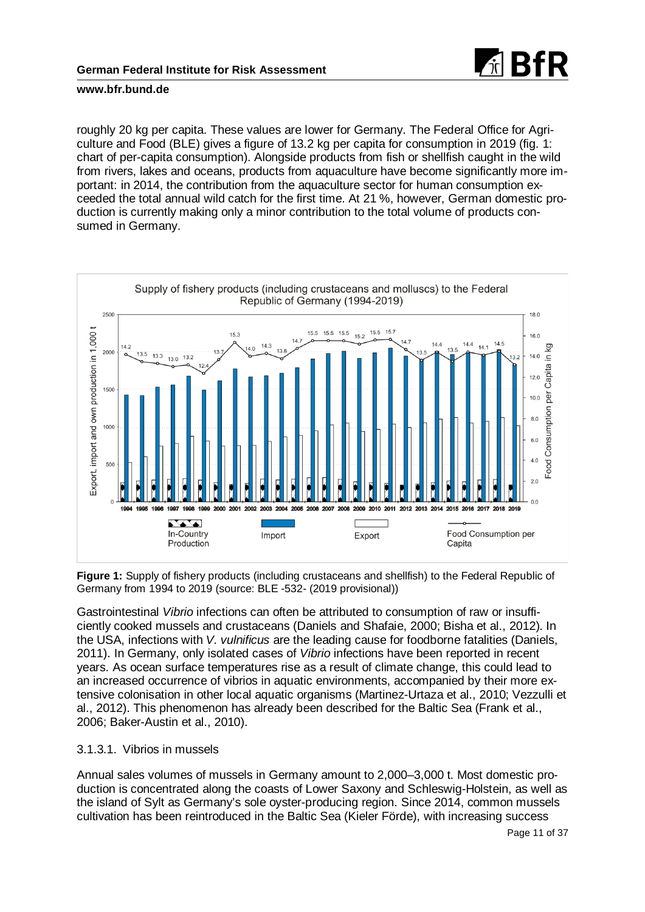

roughly 20 kg per capita. These values are lower for Germany. The Federal Office for Agriculture and Food (BLE) gives a figure of 13.2 kg per capita for consumption in 2019 (fig. 1: chart of per-capita consumption). Alongside products from fish or shellfish caught in the wild from rivers, lakes and oceans, products from aquaculture have become significantly more important: in 2014, the contribution from the aquaculture sector for human consumption exceeded the total annual wild catch for the first time. At 21 %, however, German domestic production is currently making only a minor contribution to the total volume of products consumed in Germany.



**Figure 1:** Supply of fishery products (including crustaceans and shellfish) to the Federal Republic of Germany from 1994 to 2019 (source: BLE -532- (2019 provisional))

Gastrointestinal *Vibrio* infections can often be attributed to consumption of raw or insufficiently cooked mussels and crustaceans (Daniels and Shafaie, 2000; Bisha et al., 2012). In the USA, infections with *V. vulnificus* are the leading cause for foodborne fatalities (Daniels, 2011). In Germany, only isolated cases of *Vibrio* infections have been reported in recent years. As ocean surface temperatures rise as a result of climate change, this could lead to an increased occurrence of vibrios in aquatic environments, accompanied by their more extensive colonisation in other local aquatic organisms (Martinez-Urtaza et al., 2010; Vezzulli et al., 2012). This phenomenon has already been described for the Baltic Sea (Frank et al., 2006; Baker-Austin et al., 2010).

## 3.1.3.1. Vibrios in mussels

Annual sales volumes of mussels in Germany amount to 2,000–3,000 t. Most domestic production is concentrated along the coasts of Lower Saxony and Schleswig-Holstein, as well as the island of Sylt as Germany's sole oyster-producing region. Since 2014, common mussels cultivation has been reintroduced in the Baltic Sea (Kieler Förde), with increasing success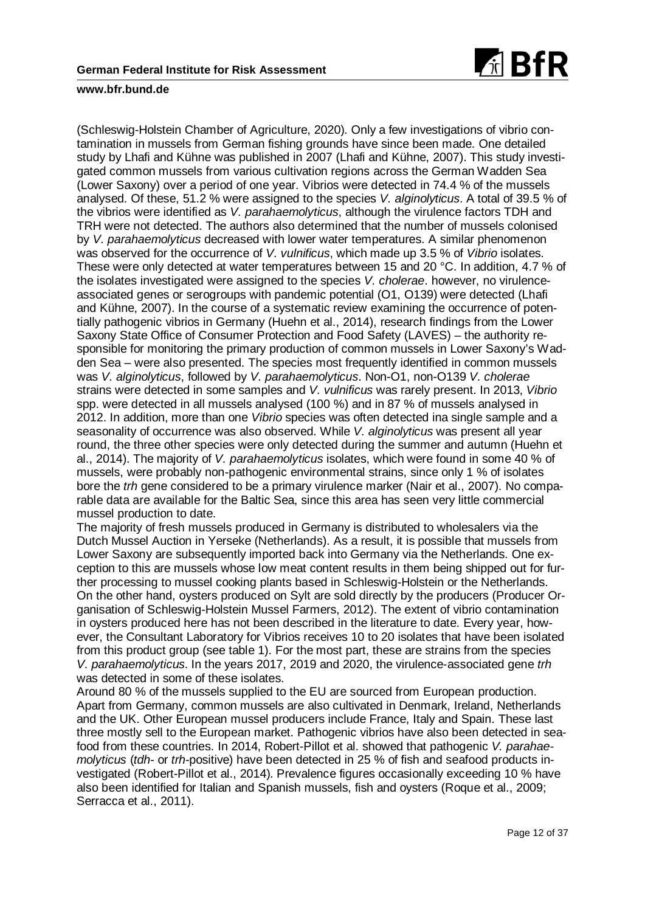

(Schleswig-Holstein Chamber of Agriculture, 2020). Only a few investigations of vibrio contamination in mussels from German fishing grounds have since been made. One detailed study by Lhafi and Kühne was published in 2007 (Lhafi and Kühne, 2007). This study investigated common mussels from various cultivation regions across the German Wadden Sea (Lower Saxony) over a period of one year. Vibrios were detected in 74.4 % of the mussels analysed. Of these, 51.2 % were assigned to the species *V. alginolyticus*. A total of 39.5 % of the vibrios were identified as *V. parahaemolyticus*, although the virulence factors TDH and TRH were not detected. The authors also determined that the number of mussels colonised by *V. parahaemolyticus* decreased with lower water temperatures. A similar phenomenon was observed for the occurrence of *V. vulnificus*, which made up 3.5 % of *Vibrio* isolates. These were only detected at water temperatures between 15 and 20 °C. In addition, 4.7 % of the isolates investigated were assigned to the species *V. cholerae*. however, no virulenceassociated genes or serogroups with pandemic potential (O1, O139) were detected (Lhafi and Kühne, 2007). In the course of a systematic review examining the occurrence of potentially pathogenic vibrios in Germany (Huehn et al., 2014), research findings from the Lower Saxony State Office of Consumer Protection and Food Safety (LAVES) – the authority responsible for monitoring the primary production of common mussels in Lower Saxony's Wadden Sea – were also presented. The species most frequently identified in common mussels was *V. alginolyticus*, followed by *V. parahaemolyticus*. Non-O1, non-O139 *V. cholerae* strains were detected in some samples and *V. vulnificus* was rarely present. In 2013, *Vibrio* spp. were detected in all mussels analysed (100 %) and in 87 % of mussels analysed in 2012. In addition, more than one *Vibrio* species was often detected ina single sample and a seasonality of occurrence was also observed. While *V. alginolyticus* was present all year round, the three other species were only detected during the summer and autumn (Huehn et al., 2014). The majority of *V. parahaemolyticus* isolates, which were found in some 40 % of mussels, were probably non-pathogenic environmental strains, since only 1 % of isolates bore the *trh* gene considered to be a primary virulence marker (Nair et al., 2007). No comparable data are available for the Baltic Sea, since this area has seen very little commercial mussel production to date.

The majority of fresh mussels produced in Germany is distributed to wholesalers via the Dutch Mussel Auction in Yerseke (Netherlands). As a result, it is possible that mussels from Lower Saxony are subsequently imported back into Germany via the Netherlands. One exception to this are mussels whose low meat content results in them being shipped out for further processing to mussel cooking plants based in Schleswig-Holstein or the Netherlands. On the other hand, oysters produced on Sylt are sold directly by the producers (Producer Organisation of Schleswig-Holstein Mussel Farmers, 2012). The extent of vibrio contamination in oysters produced here has not been described in the literature to date. Every year, however, the Consultant Laboratory for Vibrios receives 10 to 20 isolates that have been isolated from this product group (see table 1). For the most part, these are strains from the species *V. parahaemolyticus*. In the years 2017, 2019 and 2020, the virulence-associated gene *trh* was detected in some of these isolates.

Around 80 % of the mussels supplied to the EU are sourced from European production. Apart from Germany, common mussels are also cultivated in Denmark, Ireland, Netherlands and the UK. Other European mussel producers include France, Italy and Spain. These last three mostly sell to the European market. Pathogenic vibrios have also been detected in seafood from these countries. In 2014, Robert-Pillot et al. showed that pathogenic *V. parahaemolyticus* (*tdh*- or *trh*-positive) have been detected in 25 % of fish and seafood products investigated (Robert-Pillot et al., 2014). Prevalence figures occasionally exceeding 10 % have also been identified for Italian and Spanish mussels, fish and oysters (Roque et al., 2009; Serracca et al., 2011).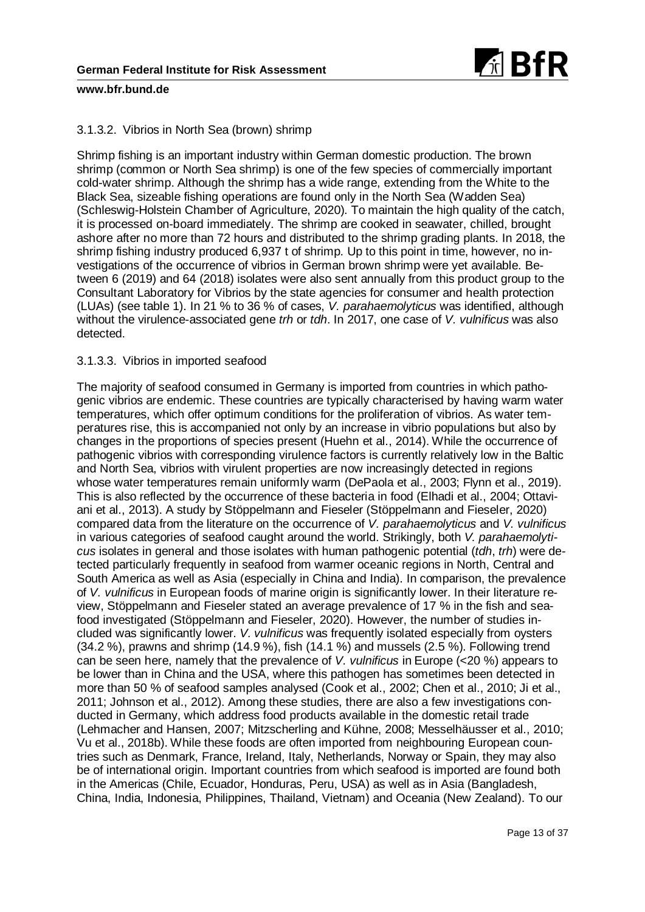

## 3.1.3.2. Vibrios in North Sea (brown) shrimp

Shrimp fishing is an important industry within German domestic production. The brown shrimp (common or North Sea shrimp) is one of the few species of commercially important cold-water shrimp. Although the shrimp has a wide range, extending from the White to the Black Sea, sizeable fishing operations are found only in the North Sea (Wadden Sea) (Schleswig-Holstein Chamber of Agriculture, 2020). To maintain the high quality of the catch, it is processed on-board immediately. The shrimp are cooked in seawater, chilled, brought ashore after no more than 72 hours and distributed to the shrimp grading plants. In 2018, the shrimp fishing industry produced 6,937 t of shrimp. Up to this point in time, however, no investigations of the occurrence of vibrios in German brown shrimp were yet available. Between 6 (2019) and 64 (2018) isolates were also sent annually from this product group to the Consultant Laboratory for Vibrios by the state agencies for consumer and health protection (LUAs) (see table 1). In 21 % to 36 % of cases, *V. parahaemolyticus* was identified, although without the virulence-associated gene *trh* or *tdh*. In 2017, one case of *V. vulnificus* was also detected.

## 3.1.3.3. Vibrios in imported seafood

The majority of seafood consumed in Germany is imported from countries in which pathogenic vibrios are endemic. These countries are typically characterised by having warm water temperatures, which offer optimum conditions for the proliferation of vibrios. As water temperatures rise, this is accompanied not only by an increase in vibrio populations but also by changes in the proportions of species present (Huehn et al., 2014). While the occurrence of pathogenic vibrios with corresponding virulence factors is currently relatively low in the Baltic and North Sea, vibrios with virulent properties are now increasingly detected in regions whose water temperatures remain uniformly warm (DePaola et al., 2003; Flynn et al., 2019). This is also reflected by the occurrence of these bacteria in food (Elhadi et al., 2004; Ottaviani et al., 2013). A study by Stöppelmann and Fieseler (Stöppelmann and Fieseler, 2020) compared data from the literature on the occurrence of *V. parahaemolyticus* and *V. vulnificus* in various categories of seafood caught around the world. Strikingly, both *V. parahaemolyticus* isolates in general and those isolates with human pathogenic potential (*tdh*, *trh*) were detected particularly frequently in seafood from warmer oceanic regions in North, Central and South America as well as Asia (especially in China and India). In comparison, the prevalence of *V. vulnificus* in European foods of marine origin is significantly lower. In their literature review, Stöppelmann and Fieseler stated an average prevalence of 17 % in the fish and seafood investigated (Stöppelmann and Fieseler, 2020). However, the number of studies included was significantly lower. *V. vulnificus* was frequently isolated especially from oysters (34.2 %), prawns and shrimp (14.9 %), fish (14.1 %) and mussels (2.5 %). Following trend can be seen here, namely that the prevalence of *V. vulnificus* in Europe (<20 %) appears to be lower than in China and the USA, where this pathogen has sometimes been detected in more than 50 % of seafood samples analysed (Cook et al., 2002; Chen et al., 2010; Ji et al., 2011; Johnson et al., 2012). Among these studies, there are also a few investigations conducted in Germany, which address food products available in the domestic retail trade (Lehmacher and Hansen, 2007; Mitzscherling and Kühne, 2008; Messelhäusser et al., 2010; Vu et al., 2018b). While these foods are often imported from neighbouring European countries such as Denmark, France, Ireland, Italy, Netherlands, Norway or Spain, they may also be of international origin. Important countries from which seafood is imported are found both in the Americas (Chile, Ecuador, Honduras, Peru, USA) as well as in Asia (Bangladesh, China, India, Indonesia, Philippines, Thailand, Vietnam) and Oceania (New Zealand). To our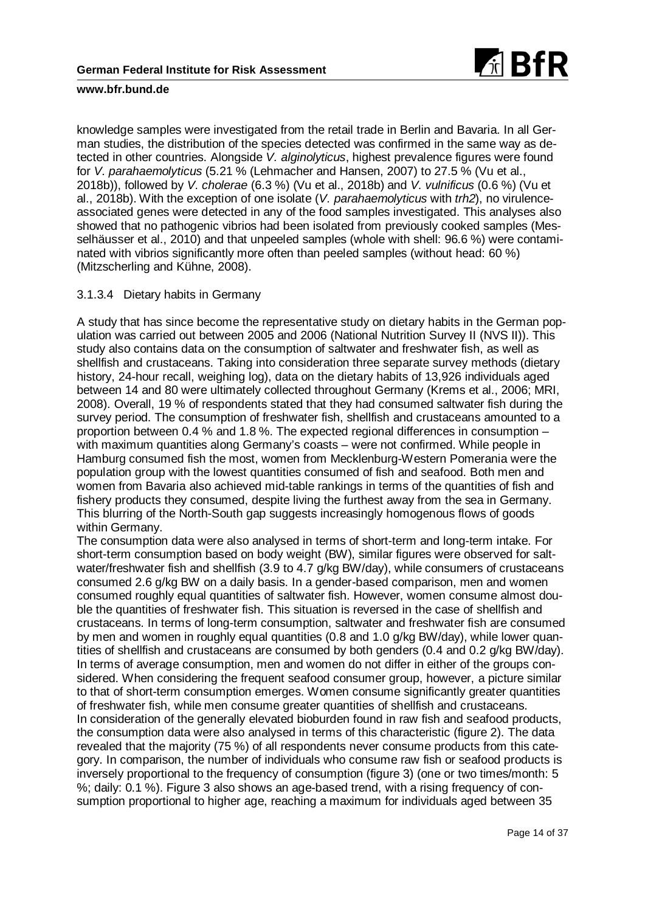

knowledge samples were investigated from the retail trade in Berlin and Bavaria. In all German studies, the distribution of the species detected was confirmed in the same way as detected in other countries. Alongside *V. alginolyticus*, highest prevalence figures were found for *V. parahaemolyticus* (5.21 % (Lehmacher and Hansen, 2007) to 27.5 % (Vu et al., 2018b)), followed by *V. cholerae* (6.3 %) (Vu et al., 2018b) and *V. vulnificus* (0.6 %) (Vu et al., 2018b). With the exception of one isolate (*V. parahaemolyticus* with *trh2*), no virulenceassociated genes were detected in any of the food samples investigated. This analyses also showed that no pathogenic vibrios had been isolated from previously cooked samples (Messelhäusser et al., 2010) and that unpeeled samples (whole with shell: 96.6 %) were contaminated with vibrios significantly more often than peeled samples (without head: 60 %) (Mitzscherling and Kühne, 2008).

## 3.1.3.4 Dietary habits in Germany

A study that has since become the representative study on dietary habits in the German population was carried out between 2005 and 2006 (National Nutrition Survey II (NVS II)). This study also contains data on the consumption of saltwater and freshwater fish, as well as shellfish and crustaceans. Taking into consideration three separate survey methods (dietary history, 24-hour recall, weighing log), data on the dietary habits of 13,926 individuals aged between 14 and 80 were ultimately collected throughout Germany (Krems et al., 2006; MRI, 2008). Overall, 19 % of respondents stated that they had consumed saltwater fish during the survey period. The consumption of freshwater fish, shellfish and crustaceans amounted to a proportion between 0.4 % and 1.8 %. The expected regional differences in consumption – with maximum quantities along Germany's coasts – were not confirmed. While people in Hamburg consumed fish the most, women from Mecklenburg-Western Pomerania were the population group with the lowest quantities consumed of fish and seafood. Both men and women from Bavaria also achieved mid-table rankings in terms of the quantities of fish and fishery products they consumed, despite living the furthest away from the sea in Germany. This blurring of the North-South gap suggests increasingly homogenous flows of goods within Germany.

The consumption data were also analysed in terms of short-term and long-term intake. For short-term consumption based on body weight (BW), similar figures were observed for saltwater/freshwater fish and shellfish (3.9 to 4.7 g/kg BW/day), while consumers of crustaceans consumed 2.6 g/kg BW on a daily basis. In a gender-based comparison, men and women consumed roughly equal quantities of saltwater fish. However, women consume almost double the quantities of freshwater fish. This situation is reversed in the case of shellfish and crustaceans. In terms of long-term consumption, saltwater and freshwater fish are consumed by men and women in roughly equal quantities (0.8 and 1.0 g/kg BW/day), while lower quantities of shellfish and crustaceans are consumed by both genders (0.4 and 0.2 g/kg BW/day). In terms of average consumption, men and women do not differ in either of the groups considered. When considering the frequent seafood consumer group, however, a picture similar to that of short-term consumption emerges. Women consume significantly greater quantities of freshwater fish, while men consume greater quantities of shellfish and crustaceans. In consideration of the generally elevated bioburden found in raw fish and seafood products, the consumption data were also analysed in terms of this characteristic (figure 2). The data revealed that the majority (75 %) of all respondents never consume products from this category. In comparison, the number of individuals who consume raw fish or seafood products is inversely proportional to the frequency of consumption (figure 3) (one or two times/month: 5 %; daily: 0.1 %). Figure 3 also shows an age-based trend, with a rising frequency of consumption proportional to higher age, reaching a maximum for individuals aged between 35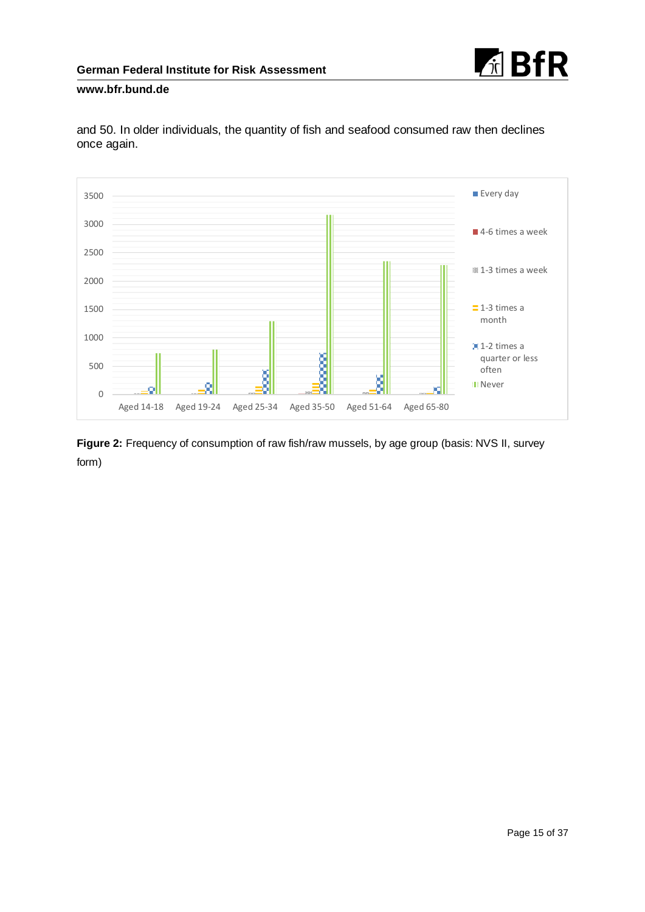



and 50. In older individuals, the quantity of fish and seafood consumed raw then declines once again.

**Figure 2:** Frequency of consumption of raw fish/raw mussels, by age group (basis: NVS II, survey form)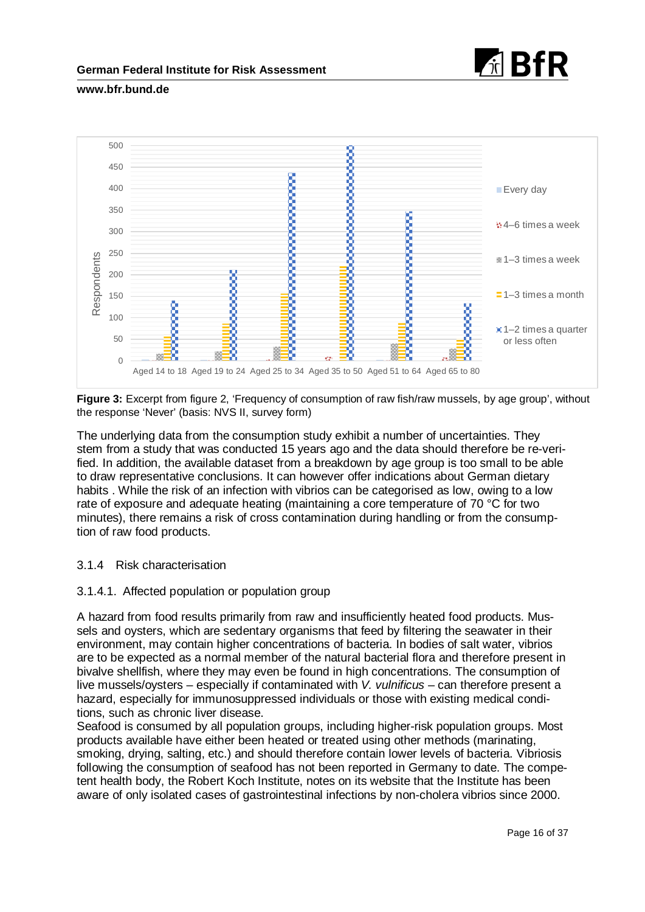



**Figure 3:** Excerpt from figure 2, 'Frequency of consumption of raw fish/raw mussels, by age group', without the response 'Never' (basis: NVS II, survey form)

The underlying data from the consumption study exhibit a number of uncertainties. They stem from a study that was conducted 15 years ago and the data should therefore be re-verified. In addition, the available dataset from a breakdown by age group is too small to be able to draw representative conclusions. It can however offer indications about German dietary habits . While the risk of an infection with vibrios can be categorised as low, owing to a low rate of exposure and adequate heating (maintaining a core temperature of 70 °C for two minutes), there remains a risk of cross contamination during handling or from the consumption of raw food products.

## 3.1.4 Risk characterisation

## 3.1.4.1. Affected population or population group

A hazard from food results primarily from raw and insufficiently heated food products. Mussels and oysters, which are sedentary organisms that feed by filtering the seawater in their environment, may contain higher concentrations of bacteria. In bodies of salt water, vibrios are to be expected as a normal member of the natural bacterial flora and therefore present in bivalve shellfish, where they may even be found in high concentrations. The consumption of live mussels/oysters – especially if contaminated with *V. vulnificus* – can therefore present a hazard, especially for immunosuppressed individuals or those with existing medical conditions, such as chronic liver disease.

Seafood is consumed by all population groups, including higher-risk population groups. Most products available have either been heated or treated using other methods (marinating, smoking, drying, salting, etc.) and should therefore contain lower levels of bacteria. Vibriosis following the consumption of seafood has not been reported in Germany to date. The competent health body, the Robert Koch Institute, notes on its website that the Institute has been aware of only isolated cases of gastrointestinal infections by non-cholera vibrios since 2000.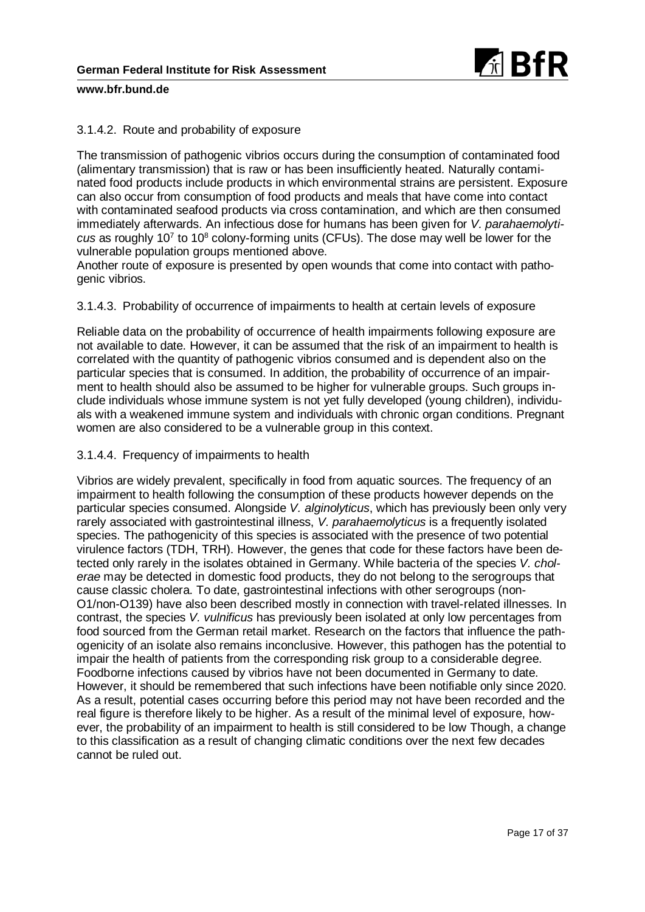

## 3.1.4.2. Route and probability of exposure

The transmission of pathogenic vibrios occurs during the consumption of contaminated food (alimentary transmission) that is raw or has been insufficiently heated. Naturally contaminated food products include products in which environmental strains are persistent. Exposure can also occur from consumption of food products and meals that have come into contact with contaminated seafood products via cross contamination, and which are then consumed immediately afterwards. An infectious dose for humans has been given for *V. parahaemolyticus* as roughly 107 to 108 colony-forming units (CFUs). The dose may well be lower for the vulnerable population groups mentioned above.

Another route of exposure is presented by open wounds that come into contact with pathogenic vibrios.

3.1.4.3. Probability of occurrence of impairments to health at certain levels of exposure

Reliable data on the probability of occurrence of health impairments following exposure are not available to date. However, it can be assumed that the risk of an impairment to health is correlated with the quantity of pathogenic vibrios consumed and is dependent also on the particular species that is consumed. In addition, the probability of occurrence of an impairment to health should also be assumed to be higher for vulnerable groups. Such groups include individuals whose immune system is not yet fully developed (young children), individuals with a weakened immune system and individuals with chronic organ conditions. Pregnant women are also considered to be a vulnerable group in this context.

## 3.1.4.4. Frequency of impairments to health

Vibrios are widely prevalent, specifically in food from aquatic sources. The frequency of an impairment to health following the consumption of these products however depends on the particular species consumed. Alongside *V. alginolyticus*, which has previously been only very rarely associated with gastrointestinal illness, *V. parahaemolyticus* is a frequently isolated species. The pathogenicity of this species is associated with the presence of two potential virulence factors (TDH, TRH). However, the genes that code for these factors have been detected only rarely in the isolates obtained in Germany. While bacteria of the species *V. cholerae* may be detected in domestic food products, they do not belong to the serogroups that cause classic cholera. To date, gastrointestinal infections with other serogroups (non-O1/non-O139) have also been described mostly in connection with travel-related illnesses. In contrast, the species *V. vulnificus* has previously been isolated at only low percentages from food sourced from the German retail market. Research on the factors that influence the pathogenicity of an isolate also remains inconclusive. However, this pathogen has the potential to impair the health of patients from the corresponding risk group to a considerable degree. Foodborne infections caused by vibrios have not been documented in Germany to date. However, it should be remembered that such infections have been notifiable only since 2020. As a result, potential cases occurring before this period may not have been recorded and the real figure is therefore likely to be higher. As a result of the minimal level of exposure, however, the probability of an impairment to health is still considered to be low Though, a change to this classification as a result of changing climatic conditions over the next few decades cannot be ruled out.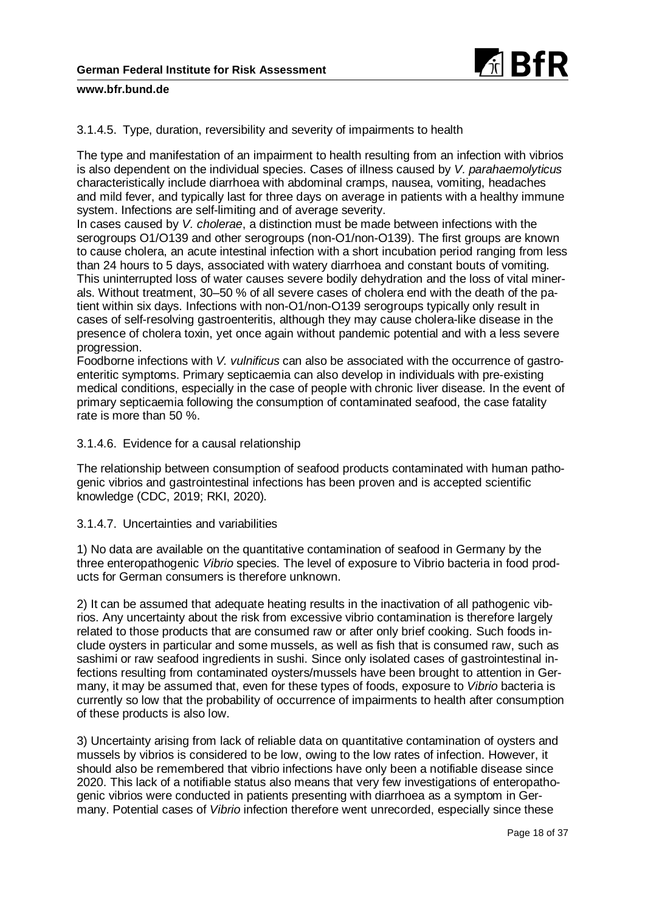

3.1.4.5. Type, duration, reversibility and severity of impairments to health

The type and manifestation of an impairment to health resulting from an infection with vibrios is also dependent on the individual species. Cases of illness caused by *V. parahaemolyticus* characteristically include diarrhoea with abdominal cramps, nausea, vomiting, headaches and mild fever, and typically last for three days on average in patients with a healthy immune system. Infections are self-limiting and of average severity.

In cases caused by *V. cholerae*, a distinction must be made between infections with the serogroups O1/O139 and other serogroups (non-O1/non-O139). The first groups are known to cause cholera, an acute intestinal infection with a short incubation period ranging from less than 24 hours to 5 days, associated with watery diarrhoea and constant bouts of vomiting. This uninterrupted loss of water causes severe bodily dehydration and the loss of vital minerals. Without treatment, 30–50 % of all severe cases of cholera end with the death of the patient within six days. Infections with non-O1/non-O139 serogroups typically only result in cases of self-resolving gastroenteritis, although they may cause cholera-like disease in the presence of cholera toxin, yet once again without pandemic potential and with a less severe progression.

Foodborne infections with *V. vulnificus* can also be associated with the occurrence of gastroenteritic symptoms. Primary septicaemia can also develop in individuals with pre-existing medical conditions, especially in the case of people with chronic liver disease. In the event of primary septicaemia following the consumption of contaminated seafood, the case fatality rate is more than 50 %.

## 3.1.4.6. Evidence for a causal relationship

The relationship between consumption of seafood products contaminated with human pathogenic vibrios and gastrointestinal infections has been proven and is accepted scientific knowledge (CDC, 2019; RKI, 2020).

## 3.1.4.7. Uncertainties and variabilities

1) No data are available on the quantitative contamination of seafood in Germany by the three enteropathogenic *Vibrio* species. The level of exposure to Vibrio bacteria in food products for German consumers is therefore unknown.

2) It can be assumed that adequate heating results in the inactivation of all pathogenic vibrios. Any uncertainty about the risk from excessive vibrio contamination is therefore largely related to those products that are consumed raw or after only brief cooking. Such foods include oysters in particular and some mussels, as well as fish that is consumed raw, such as sashimi or raw seafood ingredients in sushi. Since only isolated cases of gastrointestinal infections resulting from contaminated oysters/mussels have been brought to attention in Germany, it may be assumed that, even for these types of foods, exposure to *Vibrio* bacteria is currently so low that the probability of occurrence of impairments to health after consumption of these products is also low.

3) Uncertainty arising from lack of reliable data on quantitative contamination of oysters and mussels by vibrios is considered to be low, owing to the low rates of infection. However, it should also be remembered that vibrio infections have only been a notifiable disease since 2020. This lack of a notifiable status also means that very few investigations of enteropathogenic vibrios were conducted in patients presenting with diarrhoea as a symptom in Germany. Potential cases of *Vibrio* infection therefore went unrecorded, especially since these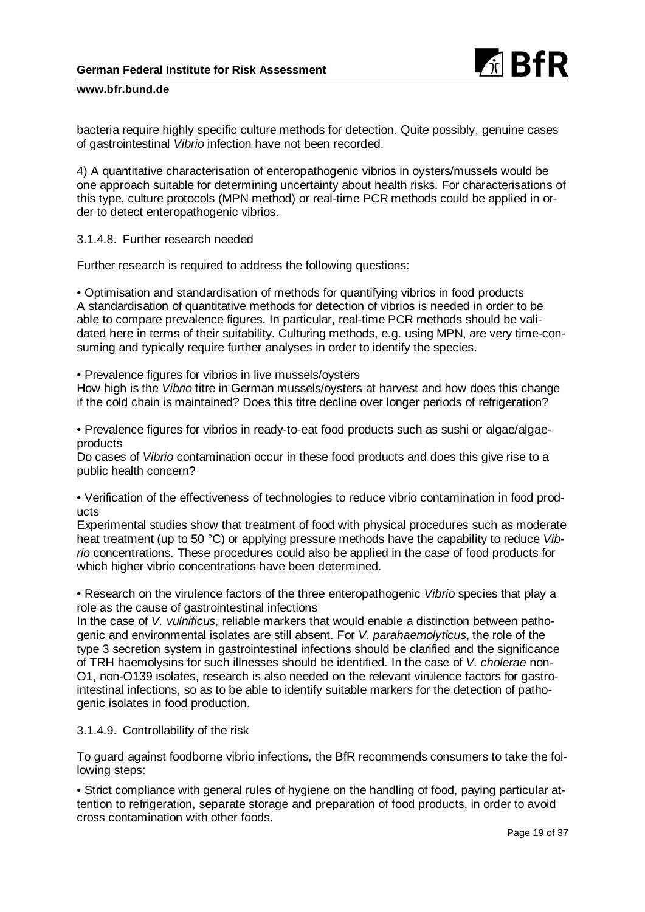

bacteria require highly specific culture methods for detection. Quite possibly, genuine cases of gastrointestinal *Vibrio* infection have not been recorded.

4) A quantitative characterisation of enteropathogenic vibrios in oysters/mussels would be one approach suitable for determining uncertainty about health risks. For characterisations of this type, culture protocols (MPN method) or real-time PCR methods could be applied in order to detect enteropathogenic vibrios.

3.1.4.8. Further research needed

Further research is required to address the following questions:

• Optimisation and standardisation of methods for quantifying vibrios in food products A standardisation of quantitative methods for detection of vibrios is needed in order to be able to compare prevalence figures. In particular, real-time PCR methods should be validated here in terms of their suitability. Culturing methods, e.g. using MPN, are very time-consuming and typically require further analyses in order to identify the species.

• Prevalence figures for vibrios in live mussels/oysters

How high is the *Vibrio* titre in German mussels/oysters at harvest and how does this change if the cold chain is maintained? Does this titre decline over longer periods of refrigeration?

• Prevalence figures for vibrios in ready-to-eat food products such as sushi or algae/algaeproducts

Do cases of *Vibrio* contamination occur in these food products and does this give rise to a public health concern?

• Verification of the effectiveness of technologies to reduce vibrio contamination in food products

Experimental studies show that treatment of food with physical procedures such as moderate heat treatment (up to 50 °C) or applying pressure methods have the capability to reduce *Vibrio* concentrations. These procedures could also be applied in the case of food products for which higher vibrio concentrations have been determined.

• Research on the virulence factors of the three enteropathogenic *Vibrio* species that play a role as the cause of gastrointestinal infections

In the case of *V. vulnificus*, reliable markers that would enable a distinction between pathogenic and environmental isolates are still absent. For *V. parahaemolyticus*, the role of the type 3 secretion system in gastrointestinal infections should be clarified and the significance of TRH haemolysins for such illnesses should be identified. In the case of *V. cholerae* non-O1, non-O139 isolates, research is also needed on the relevant virulence factors for gastrointestinal infections, so as to be able to identify suitable markers for the detection of pathogenic isolates in food production.

## 3.1.4.9. Controllability of the risk

To guard against foodborne vibrio infections, the BfR recommends consumers to take the following steps:

• Strict compliance with general rules of hygiene on the handling of food, paying particular attention to refrigeration, separate storage and preparation of food products, in order to avoid cross contamination with other foods.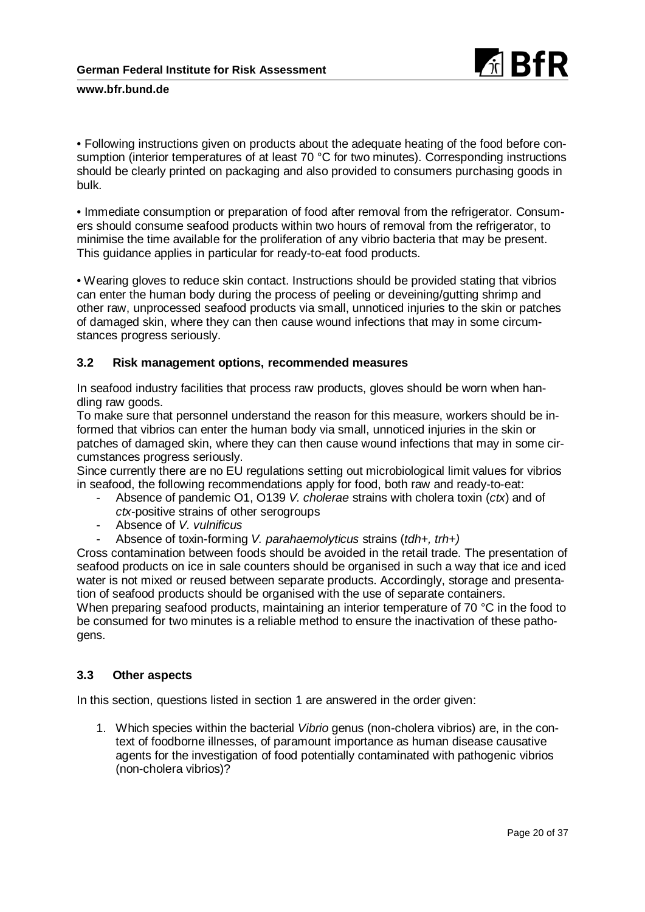

• Following instructions given on products about the adequate heating of the food before consumption (interior temperatures of at least 70 °C for two minutes). Corresponding instructions should be clearly printed on packaging and also provided to consumers purchasing goods in bulk.

• Immediate consumption or preparation of food after removal from the refrigerator. Consumers should consume seafood products within two hours of removal from the refrigerator, to minimise the time available for the proliferation of any vibrio bacteria that may be present. This guidance applies in particular for ready-to-eat food products.

• Wearing gloves to reduce skin contact. Instructions should be provided stating that vibrios can enter the human body during the process of peeling or deveining/gutting shrimp and other raw, unprocessed seafood products via small, unnoticed injuries to the skin or patches of damaged skin, where they can then cause wound infections that may in some circumstances progress seriously.

## **3.2 Risk management options, recommended measures**

In seafood industry facilities that process raw products, gloves should be worn when handling raw goods.

To make sure that personnel understand the reason for this measure, workers should be informed that vibrios can enter the human body via small, unnoticed injuries in the skin or patches of damaged skin, where they can then cause wound infections that may in some circumstances progress seriously.

Since currently there are no EU regulations setting out microbiological limit values for vibrios in seafood, the following recommendations apply for food, both raw and ready-to-eat:

- Absence of pandemic O1, O139 *V. cholerae* strains with cholera toxin (*ctx*) and of *ctx*-positive strains of other serogroups
- Absence of *V. vulnificus*
- Absence of toxin-forming *V. parahaemolyticus* strains (*tdh+, trh+)*

Cross contamination between foods should be avoided in the retail trade. The presentation of seafood products on ice in sale counters should be organised in such a way that ice and iced water is not mixed or reused between separate products. Accordingly, storage and presentation of seafood products should be organised with the use of separate containers.

When preparing seafood products, maintaining an interior temperature of 70 °C in the food to be consumed for two minutes is a reliable method to ensure the inactivation of these pathogens.

# **3.3 Other aspects**

In this section, questions listed in section 1 are answered in the order given:

1. Which species within the bacterial *Vibrio* genus (non-cholera vibrios) are, in the context of foodborne illnesses, of paramount importance as human disease causative agents for the investigation of food potentially contaminated with pathogenic vibrios (non-cholera vibrios)?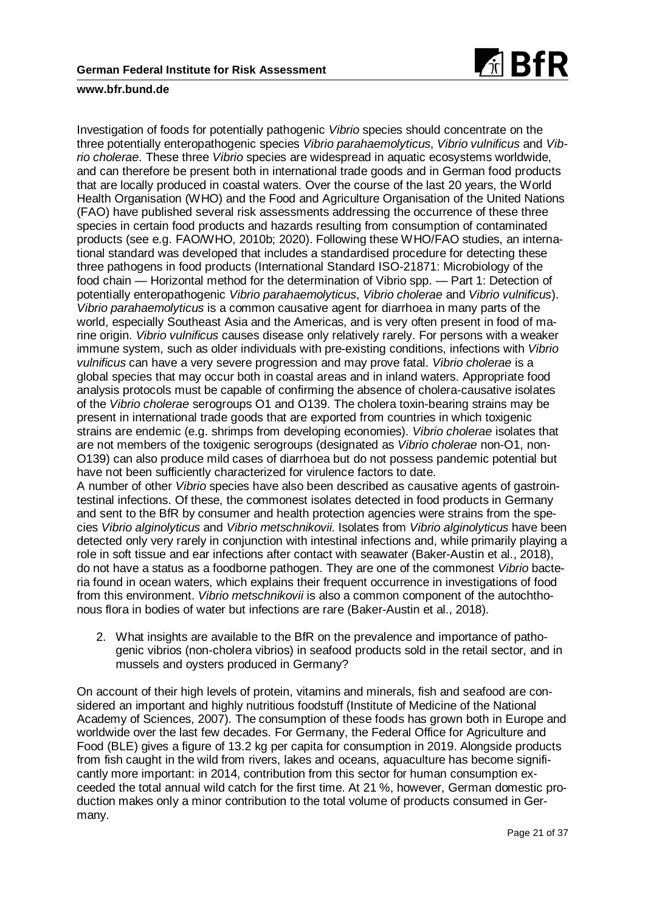

Investigation of foods for potentially pathogenic *Vibrio* species should concentrate on the three potentially enteropathogenic species *Vibrio parahaemolyticus*, *Vibrio vulnificus* and *Vibrio cholerae*. These three *Vibrio* species are widespread in aquatic ecosystems worldwide, and can therefore be present both in international trade goods and in German food products that are locally produced in coastal waters. Over the course of the last 20 years, the World Health Organisation (WHO) and the Food and Agriculture Organisation of the United Nations (FAO) have published several risk assessments addressing the occurrence of these three species in certain food products and hazards resulting from consumption of contaminated products (see e.g. FAO/WHO, 2010b; 2020). Following these WHO/FAO studies, an international standard was developed that includes a standardised procedure for detecting these three pathogens in food products (International Standard ISO-21871: Microbiology of the food chain — Horizontal method for the determination of Vibrio spp. — Part 1: Detection of potentially enteropathogenic *Vibrio parahaemolyticus*, *Vibrio cholerae* and *Vibrio vulnificus*). *Vibrio parahaemolyticus* is a common causative agent for diarrhoea in many parts of the world, especially Southeast Asia and the Americas, and is very often present in food of marine origin. *Vibrio vulnificus* causes disease only relatively rarely. For persons with a weaker immune system, such as older individuals with pre-existing conditions, infections with *Vibrio vulnificus* can have a very severe progression and may prove fatal. *Vibrio cholerae* is a global species that may occur both in coastal areas and in inland waters. Appropriate food analysis protocols must be capable of confirming the absence of cholera-causative isolates of the *Vibrio cholerae* serogroups O1 and O139. The cholera toxin-bearing strains may be present in international trade goods that are exported from countries in which toxigenic strains are endemic (e.g. shrimps from developing economies). *Vibrio cholerae* isolates that are not members of the toxigenic serogroups (designated as *Vibrio cholerae* non-O1, non-O139) can also produce mild cases of diarrhoea but do not possess pandemic potential but have not been sufficiently characterized for virulence factors to date. A number of other *Vibrio* species have also been described as causative agents of gastrointestinal infections. Of these, the commonest isolates detected in food products in Germany and sent to the BfR by consumer and health protection agencies were strains from the species *Vibrio alginolyticus* and *Vibrio metschnikovii*. Isolates from *Vibrio alginolyticus* have been detected only very rarely in conjunction with intestinal infections and, while primarily playing a role in soft tissue and ear infections after contact with seawater (Baker-Austin et al., 2018), do not have a status as a foodborne pathogen. They are one of the commonest *Vibrio* bacteria found in ocean waters, which explains their frequent occurrence in investigations of food

2. What insights are available to the BfR on the prevalence and importance of pathogenic vibrios (non-cholera vibrios) in seafood products sold in the retail sector, and in mussels and oysters produced in Germany?

from this environment. *Vibrio metschnikovii* is also a common component of the autochtho-

nous flora in bodies of water but infections are rare (Baker-Austin et al., 2018).

On account of their high levels of protein, vitamins and minerals, fish and seafood are considered an important and highly nutritious foodstuff (Institute of Medicine of the National Academy of Sciences, 2007). The consumption of these foods has grown both in Europe and worldwide over the last few decades. For Germany, the Federal Office for Agriculture and Food (BLE) gives a figure of 13.2 kg per capita for consumption in 2019. Alongside products from fish caught in the wild from rivers, lakes and oceans, aquaculture has become significantly more important: in 2014, contribution from this sector for human consumption exceeded the total annual wild catch for the first time. At 21 %, however, German domestic production makes only a minor contribution to the total volume of products consumed in Germany.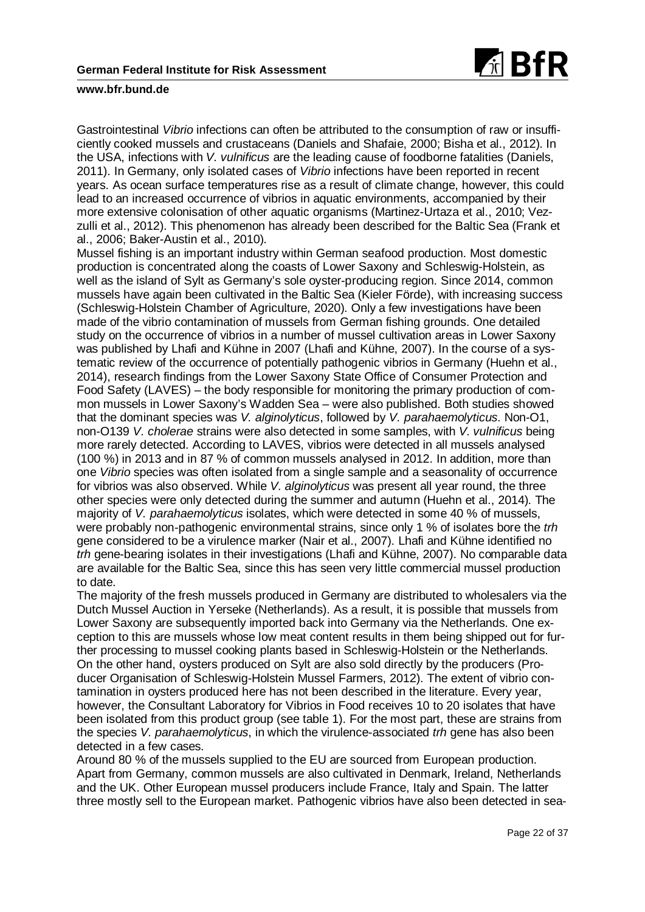

Gastrointestinal *Vibrio* infections can often be attributed to the consumption of raw or insufficiently cooked mussels and crustaceans (Daniels and Shafaie, 2000; Bisha et al., 2012). In the USA, infections with *V. vulnificus* are the leading cause of foodborne fatalities (Daniels, 2011). In Germany, only isolated cases of *Vibrio* infections have been reported in recent years. As ocean surface temperatures rise as a result of climate change, however, this could lead to an increased occurrence of vibrios in aquatic environments, accompanied by their more extensive colonisation of other aquatic organisms (Martinez-Urtaza et al., 2010; Vezzulli et al., 2012). This phenomenon has already been described for the Baltic Sea (Frank et al., 2006; Baker-Austin et al., 2010).

Mussel fishing is an important industry within German seafood production. Most domestic production is concentrated along the coasts of Lower Saxony and Schleswig-Holstein, as well as the island of Sylt as Germany's sole oyster-producing region. Since 2014, common mussels have again been cultivated in the Baltic Sea (Kieler Förde), with increasing success (Schleswig-Holstein Chamber of Agriculture, 2020). Only a few investigations have been made of the vibrio contamination of mussels from German fishing grounds. One detailed study on the occurrence of vibrios in a number of mussel cultivation areas in Lower Saxony was published by Lhafi and Kühne in 2007 (Lhafi and Kühne, 2007). In the course of a systematic review of the occurrence of potentially pathogenic vibrios in Germany (Huehn et al., 2014), research findings from the Lower Saxony State Office of Consumer Protection and Food Safety (LAVES) – the body responsible for monitoring the primary production of common mussels in Lower Saxony's Wadden Sea – were also published. Both studies showed that the dominant species was *V. alginolyticus*, followed by *V. parahaemolyticus*. Non-O1, non-O139 *V. cholerae* strains were also detected in some samples, with *V. vulnificus* being more rarely detected. According to LAVES, vibrios were detected in all mussels analysed (100 %) in 2013 and in 87 % of common mussels analysed in 2012. In addition, more than one *Vibrio* species was often isolated from a single sample and a seasonality of occurrence for vibrios was also observed. While *V. alginolyticus* was present all year round, the three other species were only detected during the summer and autumn (Huehn et al., 2014). The majority of *V. parahaemolyticus* isolates, which were detected in some 40 % of mussels, were probably non-pathogenic environmental strains, since only 1 % of isolates bore the *trh* gene considered to be a virulence marker (Nair et al., 2007). Lhafi and Kühne identified no *trh* gene-bearing isolates in their investigations (Lhafi and Kühne, 2007). No comparable data are available for the Baltic Sea, since this has seen very little commercial mussel production to date.

The majority of the fresh mussels produced in Germany are distributed to wholesalers via the Dutch Mussel Auction in Yerseke (Netherlands). As a result, it is possible that mussels from Lower Saxony are subsequently imported back into Germany via the Netherlands. One exception to this are mussels whose low meat content results in them being shipped out for further processing to mussel cooking plants based in Schleswig-Holstein or the Netherlands. On the other hand, oysters produced on Sylt are also sold directly by the producers (Producer Organisation of Schleswig-Holstein Mussel Farmers, 2012). The extent of vibrio contamination in oysters produced here has not been described in the literature. Every year, however, the Consultant Laboratory for Vibrios in Food receives 10 to 20 isolates that have been isolated from this product group (see table 1). For the most part, these are strains from the species *V. parahaemolyticus*, in which the virulence-associated *trh* gene has also been detected in a few cases.

Around 80 % of the mussels supplied to the EU are sourced from European production. Apart from Germany, common mussels are also cultivated in Denmark, Ireland, Netherlands and the UK. Other European mussel producers include France, Italy and Spain. The latter three mostly sell to the European market. Pathogenic vibrios have also been detected in sea-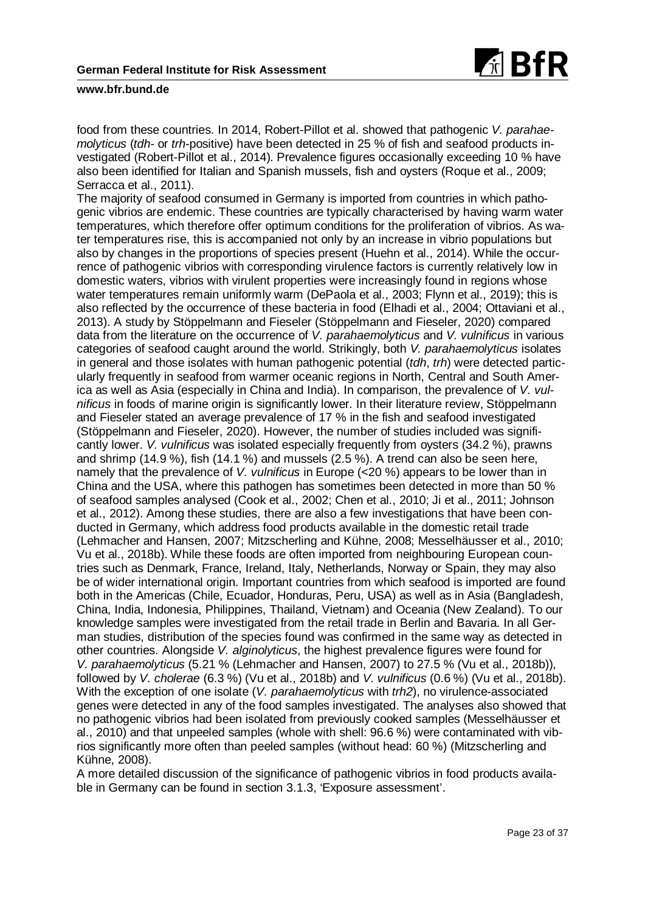

food from these countries. In 2014, Robert-Pillot et al. showed that pathogenic *V. parahaemolyticus* (*tdh*- or *trh*-positive) have been detected in 25 % of fish and seafood products investigated (Robert-Pillot et al., 2014). Prevalence figures occasionally exceeding 10 % have also been identified for Italian and Spanish mussels, fish and oysters (Roque et al., 2009; Serracca et al., 2011).

The majority of seafood consumed in Germany is imported from countries in which pathogenic vibrios are endemic. These countries are typically characterised by having warm water temperatures, which therefore offer optimum conditions for the proliferation of vibrios. As water temperatures rise, this is accompanied not only by an increase in vibrio populations but also by changes in the proportions of species present (Huehn et al., 2014). While the occurrence of pathogenic vibrios with corresponding virulence factors is currently relatively low in domestic waters, vibrios with virulent properties were increasingly found in regions whose water temperatures remain uniformly warm (DePaola et al., 2003; Flynn et al., 2019); this is also reflected by the occurrence of these bacteria in food (Elhadi et al., 2004; Ottaviani et al., 2013). A study by Stöppelmann and Fieseler (Stöppelmann and Fieseler, 2020) compared data from the literature on the occurrence of *V. parahaemolyticus* and *V. vulnificus* in various categories of seafood caught around the world. Strikingly, both *V. parahaemolyticus* isolates in general and those isolates with human pathogenic potential (*tdh*, *trh*) were detected particularly frequently in seafood from warmer oceanic regions in North, Central and South America as well as Asia (especially in China and India). In comparison, the prevalence of *V. vulnificus* in foods of marine origin is significantly lower. In their literature review, Stöppelmann and Fieseler stated an average prevalence of 17 % in the fish and seafood investigated (Stöppelmann and Fieseler, 2020). However, the number of studies included was significantly lower. *V. vulnificus* was isolated especially frequently from oysters (34.2 %), prawns and shrimp (14.9 %), fish (14.1 %) and mussels (2.5 %). A trend can also be seen here, namely that the prevalence of *V. vulnificus* in Europe (<20 %) appears to be lower than in China and the USA, where this pathogen has sometimes been detected in more than 50 % of seafood samples analysed (Cook et al., 2002; Chen et al., 2010; Ji et al., 2011; Johnson et al., 2012). Among these studies, there are also a few investigations that have been conducted in Germany, which address food products available in the domestic retail trade (Lehmacher and Hansen, 2007; Mitzscherling and Kühne, 2008; Messelhäusser et al., 2010; Vu et al., 2018b). While these foods are often imported from neighbouring European countries such as Denmark, France, Ireland, Italy, Netherlands, Norway or Spain, they may also be of wider international origin. Important countries from which seafood is imported are found both in the Americas (Chile, Ecuador, Honduras, Peru, USA) as well as in Asia (Bangladesh, China, India, Indonesia, Philippines, Thailand, Vietnam) and Oceania (New Zealand). To our knowledge samples were investigated from the retail trade in Berlin and Bavaria. In all German studies, distribution of the species found was confirmed in the same way as detected in other countries. Alongside *V. alginolyticus*, the highest prevalence figures were found for *V. parahaemolyticus* (5.21 % (Lehmacher and Hansen, 2007) to 27.5 % (Vu et al., 2018b)), followed by *V. cholerae* (6.3 %) (Vu et al., 2018b) and *V. vulnificus* (0.6 %) (Vu et al., 2018b). With the exception of one isolate (*V. parahaemolyticus* with *trh2*), no virulence-associated genes were detected in any of the food samples investigated. The analyses also showed that no pathogenic vibrios had been isolated from previously cooked samples (Messelhäusser et al., 2010) and that unpeeled samples (whole with shell: 96.6 %) were contaminated with vibrios significantly more often than peeled samples (without head: 60 %) (Mitzscherling and Kühne, 2008).

A more detailed discussion of the significance of pathogenic vibrios in food products available in Germany can be found in section 3.1.3, 'Exposure assessment'.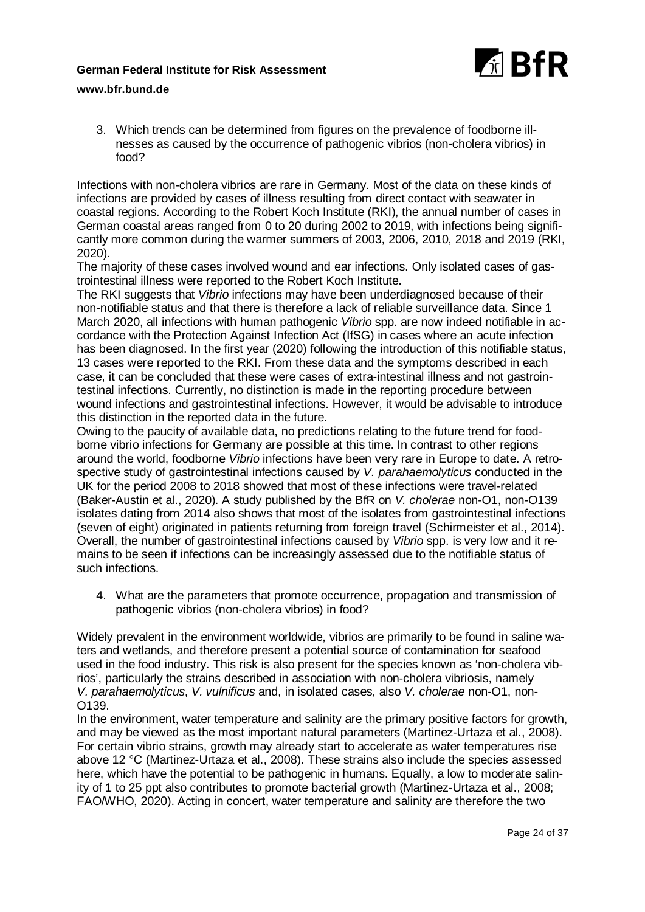

3. Which trends can be determined from figures on the prevalence of foodborne illnesses as caused by the occurrence of pathogenic vibrios (non-cholera vibrios) in food?

Infections with non-cholera vibrios are rare in Germany. Most of the data on these kinds of infections are provided by cases of illness resulting from direct contact with seawater in coastal regions. According to the Robert Koch Institute (RKI), the annual number of cases in German coastal areas ranged from 0 to 20 during 2002 to 2019, with infections being significantly more common during the warmer summers of 2003, 2006, 2010, 2018 and 2019 (RKI, 2020).

The majority of these cases involved wound and ear infections. Only isolated cases of gastrointestinal illness were reported to the Robert Koch Institute.

The RKI suggests that *Vibrio* infections may have been underdiagnosed because of their non-notifiable status and that there is therefore a lack of reliable surveillance data. Since 1 March 2020, all infections with human pathogenic *Vibrio* spp. are now indeed notifiable in accordance with the Protection Against Infection Act (IfSG) in cases where an acute infection has been diagnosed. In the first year (2020) following the introduction of this notifiable status, 13 cases were reported to the RKI. From these data and the symptoms described in each case, it can be concluded that these were cases of extra-intestinal illness and not gastrointestinal infections. Currently, no distinction is made in the reporting procedure between wound infections and gastrointestinal infections. However, it would be advisable to introduce this distinction in the reported data in the future.

Owing to the paucity of available data, no predictions relating to the future trend for foodborne vibrio infections for Germany are possible at this time. In contrast to other regions around the world, foodborne *Vibrio* infections have been very rare in Europe to date. A retrospective study of gastrointestinal infections caused by *V. parahaemolyticus* conducted in the UK for the period 2008 to 2018 showed that most of these infections were travel-related (Baker-Austin et al., 2020). A study published by the BfR on *V. cholerae* non-O1, non-O139 isolates dating from 2014 also shows that most of the isolates from gastrointestinal infections (seven of eight) originated in patients returning from foreign travel (Schirmeister et al., 2014). Overall, the number of gastrointestinal infections caused by *Vibrio* spp. is very low and it remains to be seen if infections can be increasingly assessed due to the notifiable status of such infections.

4. What are the parameters that promote occurrence, propagation and transmission of pathogenic vibrios (non-cholera vibrios) in food?

Widely prevalent in the environment worldwide, vibrios are primarily to be found in saline waters and wetlands, and therefore present a potential source of contamination for seafood used in the food industry. This risk is also present for the species known as 'non-cholera vibrios', particularly the strains described in association with non-cholera vibriosis, namely *V. parahaemolyticus*, *V. vulnificus* and, in isolated cases, also *V. cholerae* non-O1, non-O139.

In the environment, water temperature and salinity are the primary positive factors for growth, and may be viewed as the most important natural parameters (Martinez-Urtaza et al., 2008). For certain vibrio strains, growth may already start to accelerate as water temperatures rise above 12 °C (Martinez-Urtaza et al., 2008). These strains also include the species assessed here, which have the potential to be pathogenic in humans. Equally, a low to moderate salinity of 1 to 25 ppt also contributes to promote bacterial growth (Martinez-Urtaza et al., 2008; FAO/WHO, 2020). Acting in concert, water temperature and salinity are therefore the two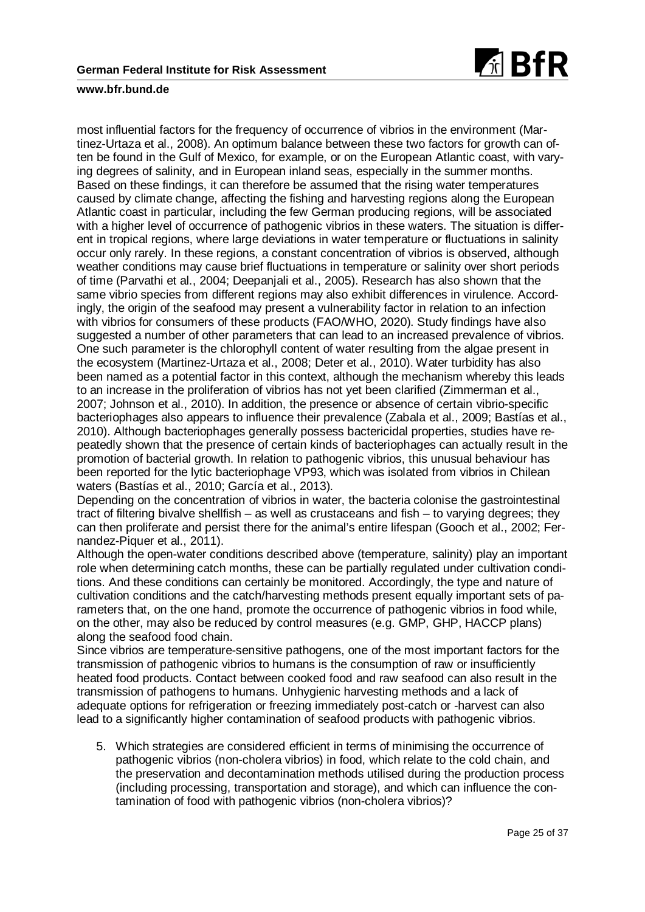

most influential factors for the frequency of occurrence of vibrios in the environment (Martinez-Urtaza et al., 2008). An optimum balance between these two factors for growth can often be found in the Gulf of Mexico, for example, or on the European Atlantic coast, with varying degrees of salinity, and in European inland seas, especially in the summer months. Based on these findings, it can therefore be assumed that the rising water temperatures caused by climate change, affecting the fishing and harvesting regions along the European Atlantic coast in particular, including the few German producing regions, will be associated with a higher level of occurrence of pathogenic vibrios in these waters. The situation is different in tropical regions, where large deviations in water temperature or fluctuations in salinity occur only rarely. In these regions, a constant concentration of vibrios is observed, although weather conditions may cause brief fluctuations in temperature or salinity over short periods of time (Parvathi et al., 2004; Deepanjali et al., 2005). Research has also shown that the same vibrio species from different regions may also exhibit differences in virulence. Accordingly, the origin of the seafood may present a vulnerability factor in relation to an infection with vibrios for consumers of these products (FAO/WHO, 2020). Study findings have also suggested a number of other parameters that can lead to an increased prevalence of vibrios. One such parameter is the chlorophyll content of water resulting from the algae present in the ecosystem (Martinez-Urtaza et al., 2008; Deter et al., 2010). Water turbidity has also been named as a potential factor in this context, although the mechanism whereby this leads to an increase in the proliferation of vibrios has not yet been clarified (Zimmerman et al., 2007; Johnson et al., 2010). In addition, the presence or absence of certain vibrio-specific bacteriophages also appears to influence their prevalence (Zabala et al., 2009; Bastías et al., 2010). Although bacteriophages generally possess bactericidal properties, studies have repeatedly shown that the presence of certain kinds of bacteriophages can actually result in the promotion of bacterial growth. In relation to pathogenic vibrios, this unusual behaviour has been reported for the lytic bacteriophage VP93, which was isolated from vibrios in Chilean waters (Bastías et al., 2010; García et al., 2013).

Depending on the concentration of vibrios in water, the bacteria colonise the gastrointestinal tract of filtering bivalve shellfish – as well as crustaceans and fish – to varying degrees; they can then proliferate and persist there for the animal's entire lifespan (Gooch et al., 2002; Fernandez-Piquer et al., 2011).

Although the open-water conditions described above (temperature, salinity) play an important role when determining catch months, these can be partially regulated under cultivation conditions. And these conditions can certainly be monitored. Accordingly, the type and nature of cultivation conditions and the catch/harvesting methods present equally important sets of parameters that, on the one hand, promote the occurrence of pathogenic vibrios in food while, on the other, may also be reduced by control measures (e.g. GMP, GHP, HACCP plans) along the seafood food chain.

Since vibrios are temperature-sensitive pathogens, one of the most important factors for the transmission of pathogenic vibrios to humans is the consumption of raw or insufficiently heated food products. Contact between cooked food and raw seafood can also result in the transmission of pathogens to humans. Unhygienic harvesting methods and a lack of adequate options for refrigeration or freezing immediately post-catch or -harvest can also lead to a significantly higher contamination of seafood products with pathogenic vibrios.

5. Which strategies are considered efficient in terms of minimising the occurrence of pathogenic vibrios (non-cholera vibrios) in food, which relate to the cold chain, and the preservation and decontamination methods utilised during the production process (including processing, transportation and storage), and which can influence the contamination of food with pathogenic vibrios (non-cholera vibrios)?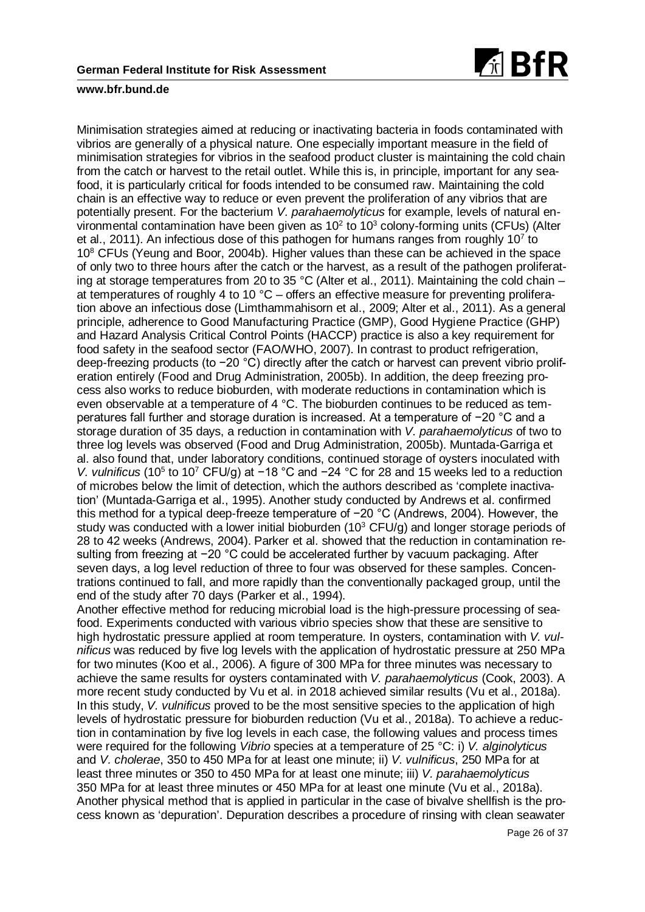

Minimisation strategies aimed at reducing or inactivating bacteria in foods contaminated with vibrios are generally of a physical nature. One especially important measure in the field of minimisation strategies for vibrios in the seafood product cluster is maintaining the cold chain from the catch or harvest to the retail outlet. While this is, in principle, important for any seafood, it is particularly critical for foods intended to be consumed raw. Maintaining the cold chain is an effective way to reduce or even prevent the proliferation of any vibrios that are potentially present. For the bacterium *V. parahaemolyticus* for example, levels of natural environmental contamination have been given as  $10<sup>2</sup>$  to  $10<sup>3</sup>$  colony-forming units (CFUs) (Alter et al., 2011). An infectious dose of this pathogen for humans ranges from roughly 10<sup>7</sup> to  $10<sup>8</sup>$  CFUs (Yeung and Boor, 2004b). Higher values than these can be achieved in the space of only two to three hours after the catch or the harvest, as a result of the pathogen proliferating at storage temperatures from 20 to 35 °C (Alter et al., 2011). Maintaining the cold chain – at temperatures of roughly 4 to 10  $^{\circ}$ C – offers an effective measure for preventing proliferation above an infectious dose (Limthammahisorn et al., 2009; Alter et al., 2011). As a general principle, adherence to Good Manufacturing Practice (GMP), Good Hygiene Practice (GHP) and Hazard Analysis Critical Control Points (HACCP) practice is also a key requirement for food safety in the seafood sector (FAO/WHO, 2007). In contrast to product refrigeration, deep-freezing products (to −20 °C) directly after the catch or harvest can prevent vibrio proliferation entirely (Food and Drug Administration, 2005b). In addition, the deep freezing process also works to reduce bioburden, with moderate reductions in contamination which is even observable at a temperature of 4 °C. The bioburden continues to be reduced as temperatures fall further and storage duration is increased. At a temperature of −20 °C and a storage duration of 35 days, a reduction in contamination with *V. parahaemolyticus* of two to three log levels was observed (Food and Drug Administration, 2005b). Muntada-Garriga et al. also found that, under laboratory conditions, continued storage of oysters inoculated with *V. vulnificus* (10<sup>5</sup> to 10<sup>7</sup> CFU/g) at −18 °C and −24 °C for 28 and 15 weeks led to a reduction of microbes below the limit of detection, which the authors described as 'complete inactivation' (Muntada-Garriga et al., 1995). Another study conducted by Andrews et al. confirmed this method for a typical deep-freeze temperature of −20 °C (Andrews, 2004). However, the study was conducted with a lower initial bioburden (10 $3$  CFU/g) and longer storage periods of 28 to 42 weeks (Andrews, 2004). Parker et al. showed that the reduction in contamination resulting from freezing at −20 °C could be accelerated further by vacuum packaging. After seven days, a log level reduction of three to four was observed for these samples. Concentrations continued to fall, and more rapidly than the conventionally packaged group, until the end of the study after 70 days (Parker et al., 1994).

Another effective method for reducing microbial load is the high-pressure processing of seafood. Experiments conducted with various vibrio species show that these are sensitive to high hydrostatic pressure applied at room temperature. In oysters, contamination with *V. vulnificus* was reduced by five log levels with the application of hydrostatic pressure at 250 MPa for two minutes (Koo et al., 2006). A figure of 300 MPa for three minutes was necessary to achieve the same results for oysters contaminated with *V. parahaemolyticus* (Cook, 2003). A more recent study conducted by Vu et al. in 2018 achieved similar results (Vu et al., 2018a). In this study, *V. vulnificus* proved to be the most sensitive species to the application of high levels of hydrostatic pressure for bioburden reduction (Vu et al., 2018a). To achieve a reduction in contamination by five log levels in each case, the following values and process times were required for the following *Vibrio* species at a temperature of 25 °C: i) *V. alginolyticus* and *V. cholerae*, 350 to 450 MPa for at least one minute; ii) *V. vulnificus*, 250 MPa for at least three minutes or 350 to 450 MPa for at least one minute; iii) *V. parahaemolyticus* 350 MPa for at least three minutes or 450 MPa for at least one minute (Vu et al., 2018a). Another physical method that is applied in particular in the case of bivalve shellfish is the process known as 'depuration'. Depuration describes a procedure of rinsing with clean seawater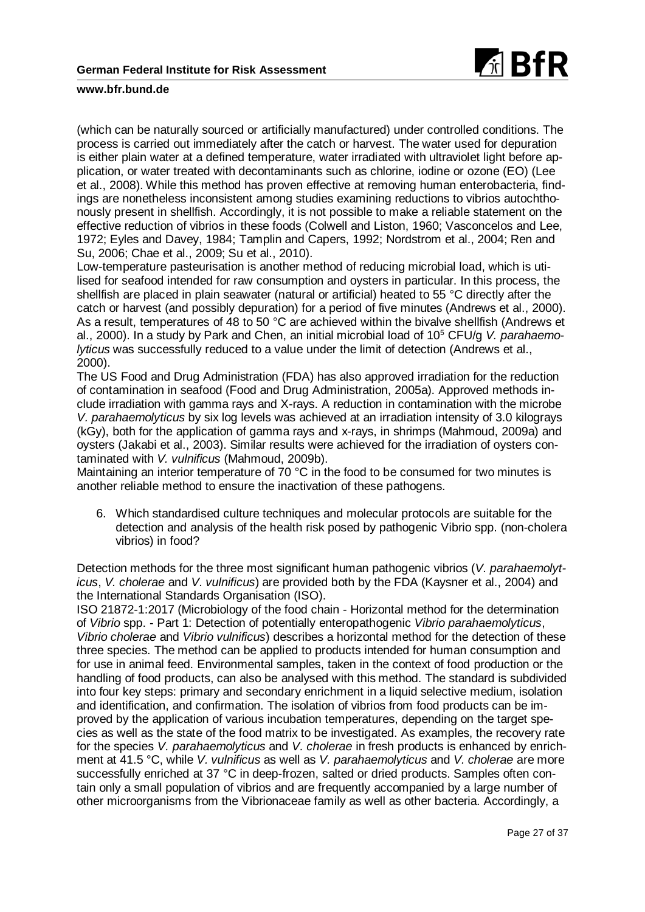

(which can be naturally sourced or artificially manufactured) under controlled conditions. The process is carried out immediately after the catch or harvest. The water used for depuration is either plain water at a defined temperature, water irradiated with ultraviolet light before application, or water treated with decontaminants such as chlorine, iodine or ozone (EO) (Lee et al., 2008). While this method has proven effective at removing human enterobacteria, findings are nonetheless inconsistent among studies examining reductions to vibrios autochthonously present in shellfish. Accordingly, it is not possible to make a reliable statement on the effective reduction of vibrios in these foods (Colwell and Liston, 1960; Vasconcelos and Lee, 1972; Eyles and Davey, 1984; Tamplin and Capers, 1992; Nordstrom et al., 2004; Ren and Su, 2006; Chae et al., 2009; Su et al., 2010).

Low-temperature pasteurisation is another method of reducing microbial load, which is utilised for seafood intended for raw consumption and oysters in particular. In this process, the shellfish are placed in plain seawater (natural or artificial) heated to 55 °C directly after the catch or harvest (and possibly depuration) for a period of five minutes (Andrews et al., 2000). As a result, temperatures of 48 to 50 °C are achieved within the bivalve shellfish (Andrews et al., 2000). In a study by Park and Chen, an initial microbial load of 105 CFU/g *V. parahaemolyticus* was successfully reduced to a value under the limit of detection (Andrews et al., 2000).

The US Food and Drug Administration (FDA) has also approved irradiation for the reduction of contamination in seafood (Food and Drug Administration, 2005a). Approved methods include irradiation with gamma rays and X-rays. A reduction in contamination with the microbe *V. parahaemolyticus* by six log levels was achieved at an irradiation intensity of 3.0 kilograys (kGy), both for the application of gamma rays and x-rays, in shrimps (Mahmoud, 2009a) and oysters (Jakabi et al., 2003). Similar results were achieved for the irradiation of oysters contaminated with *V. vulnificus* (Mahmoud, 2009b).

Maintaining an interior temperature of 70 °C in the food to be consumed for two minutes is another reliable method to ensure the inactivation of these pathogens.

6. Which standardised culture techniques and molecular protocols are suitable for the detection and analysis of the health risk posed by pathogenic Vibrio spp. (non-cholera vibrios) in food?

Detection methods for the three most significant human pathogenic vibrios (*V. parahaemolyticus*, *V. cholerae* and *V. vulnificus*) are provided both by the FDA (Kaysner et al., 2004) and the International Standards Organisation (ISO).

ISO 21872-1:2017 (Microbiology of the food chain - Horizontal method for the determination of *Vibrio* spp. - Part 1: Detection of potentially enteropathogenic *Vibrio parahaemolyticus*, *Vibrio cholerae* and *Vibrio vulnificus*) describes a horizontal method for the detection of these three species. The method can be applied to products intended for human consumption and for use in animal feed. Environmental samples, taken in the context of food production or the handling of food products, can also be analysed with this method. The standard is subdivided into four key steps: primary and secondary enrichment in a liquid selective medium, isolation and identification, and confirmation. The isolation of vibrios from food products can be improved by the application of various incubation temperatures, depending on the target species as well as the state of the food matrix to be investigated. As examples, the recovery rate for the species *V. parahaemolyticus* and *V. cholerae* in fresh products is enhanced by enrichment at 41.5 °C, while *V. vulnificus* as well as *V. parahaemolyticus* and *V. cholerae* are more successfully enriched at 37 °C in deep-frozen, salted or dried products. Samples often contain only a small population of vibrios and are frequently accompanied by a large number of other microorganisms from the Vibrionaceae family as well as other bacteria. Accordingly, a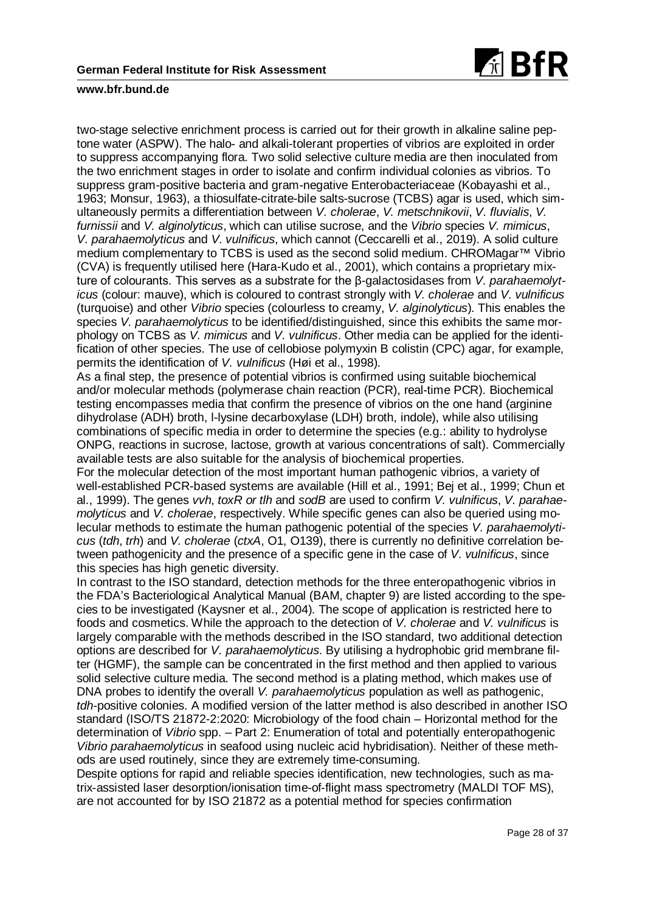

two-stage selective enrichment process is carried out for their growth in alkaline saline peptone water (ASPW). The halo- and alkali-tolerant properties of vibrios are exploited in order to suppress accompanying flora. Two solid selective culture media are then inoculated from the two enrichment stages in order to isolate and confirm individual colonies as vibrios. To suppress gram-positive bacteria and gram-negative Enterobacteriaceae (Kobayashi et al., 1963; Monsur, 1963), a thiosulfate-citrate-bile salts-sucrose (TCBS) agar is used, which simultaneously permits a differentiation between *V. cholerae*, *V. metschnikovii*, *V. fluvialis*, *V. furnissii* and *V. alginolyticus*, which can utilise sucrose, and the *Vibrio* species *V. mimicus*, *V. parahaemolyticus* and *V. vulnificus*, which cannot (Ceccarelli et al., 2019). A solid culture medium complementary to TCBS is used as the second solid medium. CHROMagar™ Vibrio (CVA) is frequently utilised here (Hara-Kudo et al., 2001), which contains a proprietary mixture of colourants. This serves as a substrate for the β-galactosidases from *V. parahaemolyticus* (colour: mauve), which is coloured to contrast strongly with *V. cholerae* and *V. vulnificus* (turquoise) and other *Vibrio* species (colourless to creamy, *V. alginolyticus*). This enables the species *V. parahaemolyticus* to be identified/distinguished, since this exhibits the same morphology on TCBS as *V. mimicus* and *V. vulnificus*. Other media can be applied for the identification of other species. The use of cellobiose polymyxin B colistin (CPC) agar, for example, permits the identification of *V. vulnificus* (Høi et al., 1998).

As a final step, the presence of potential vibrios is confirmed using suitable biochemical and/or molecular methods (polymerase chain reaction (PCR), real-time PCR). Biochemical testing encompasses media that confirm the presence of vibrios on the one hand (arginine dihydrolase (ADH) broth, l-lysine decarboxylase (LDH) broth, indole), while also utilising combinations of specific media in order to determine the species (e.g.: ability to hydrolyse ONPG, reactions in sucrose, lactose, growth at various concentrations of salt). Commercially available tests are also suitable for the analysis of biochemical properties.

For the molecular detection of the most important human pathogenic vibrios, a variety of well-established PCR-based systems are available (Hill et al., 1991; Bej et al., 1999; Chun et al., 1999). The genes *vvh*, *toxR or tlh* and *sodB* are used to confirm *V. vulnificus*, *V. parahaemolyticus* and *V. cholerae*, respectively. While specific genes can also be queried using molecular methods to estimate the human pathogenic potential of the species *V. parahaemolyticus* (*tdh*, *trh*) and *V. cholerae* (*ctxA*, O1, O139), there is currently no definitive correlation between pathogenicity and the presence of a specific gene in the case of *V. vulnificus*, since this species has high genetic diversity.

In contrast to the ISO standard, detection methods for the three enteropathogenic vibrios in the FDA's Bacteriological Analytical Manual (BAM, chapter 9) are listed according to the species to be investigated (Kaysner et al., 2004). The scope of application is restricted here to foods and cosmetics. While the approach to the detection of *V. cholerae* and *V. vulnificus* is largely comparable with the methods described in the ISO standard, two additional detection options are described for *V. parahaemolyticus*. By utilising a hydrophobic grid membrane filter (HGMF), the sample can be concentrated in the first method and then applied to various solid selective culture media. The second method is a plating method, which makes use of DNA probes to identify the overall *V. parahaemolyticus* population as well as pathogenic, *tdh*-positive colonies. A modified version of the latter method is also described in another ISO standard (ISO/TS 21872-2:2020: Microbiology of the food chain – Horizontal method for the determination of *Vibrio* spp. – Part 2: Enumeration of total and potentially enteropathogenic *Vibrio parahaemolyticus* in seafood using nucleic acid hybridisation). Neither of these methods are used routinely, since they are extremely time-consuming.

Despite options for rapid and reliable species identification, new technologies, such as matrix-assisted laser desorption/ionisation time-of-flight mass spectrometry (MALDI TOF MS), are not accounted for by ISO 21872 as a potential method for species confirmation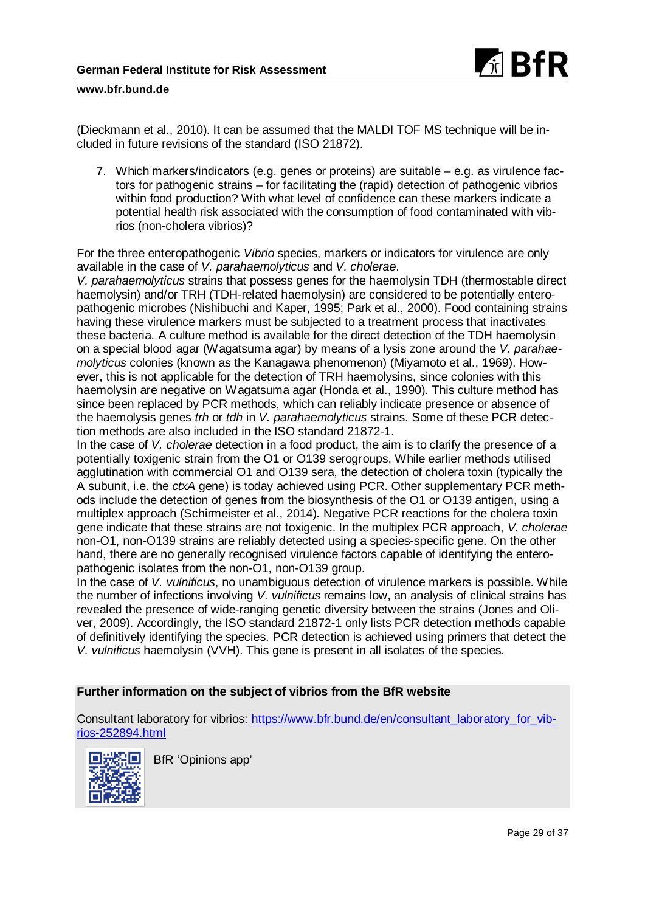

(Dieckmann et al., 2010). It can be assumed that the MALDI TOF MS technique will be included in future revisions of the standard (ISO 21872).

7. Which markers/indicators (e.g. genes or proteins) are suitable – e.g. as virulence factors for pathogenic strains – for facilitating the (rapid) detection of pathogenic vibrios within food production? With what level of confidence can these markers indicate a potential health risk associated with the consumption of food contaminated with vibrios (non-cholera vibrios)?

For the three enteropathogenic *Vibrio* species, markers or indicators for virulence are only available in the case of *V. parahaemolyticus* and *V. cholerae*.

*V. parahaemolyticus* strains that possess genes for the haemolysin TDH (thermostable direct haemolysin) and/or TRH (TDH-related haemolysin) are considered to be potentially enteropathogenic microbes (Nishibuchi and Kaper, 1995; Park et al., 2000). Food containing strains having these virulence markers must be subjected to a treatment process that inactivates these bacteria. A culture method is available for the direct detection of the TDH haemolysin on a special blood agar (Wagatsuma agar) by means of a lysis zone around the *V. parahaemolyticus* colonies (known as the Kanagawa phenomenon) (Miyamoto et al., 1969). However, this is not applicable for the detection of TRH haemolysins, since colonies with this haemolysin are negative on Wagatsuma agar (Honda et al., 1990). This culture method has since been replaced by PCR methods, which can reliably indicate presence or absence of the haemolysis genes *trh* or *tdh* in *V. parahaemolyticus* strains. Some of these PCR detection methods are also included in the ISO standard 21872-1.

In the case of *V. cholerae* detection in a food product, the aim is to clarify the presence of a potentially toxigenic strain from the O1 or O139 serogroups. While earlier methods utilised agglutination with commercial O1 and O139 sera, the detection of cholera toxin (typically the A subunit, i.e. the *ctxA* gene) is today achieved using PCR. Other supplementary PCR methods include the detection of genes from the biosynthesis of the O1 or O139 antigen, using a multiplex approach (Schirmeister et al., 2014). Negative PCR reactions for the cholera toxin gene indicate that these strains are not toxigenic. In the multiplex PCR approach, *V. cholerae* non-O1, non-O139 strains are reliably detected using a species-specific gene. On the other hand, there are no generally recognised virulence factors capable of identifying the enteropathogenic isolates from the non-O1, non-O139 group.

In the case of *V. vulnificus*, no unambiguous detection of virulence markers is possible. While the number of infections involving *V. vulnificus* remains low, an analysis of clinical strains has revealed the presence of wide-ranging genetic diversity between the strains (Jones and Oliver, 2009). Accordingly, the ISO standard 21872-1 only lists PCR detection methods capable of definitively identifying the species. PCR detection is achieved using primers that detect the *V. vulnificus* haemolysin (VVH). This gene is present in all isolates of the species.

## **Further information on the subject of vibrios from the BfR website**

Consultant laboratory for vibrios: [https://www.bfr.bund.de/en/consultant\\_laboratory\\_for\\_vib](https://www.bfr.bund.de/en/consultant_laboratory_for_vibrios-252894.html)[rios-252894.html](https://www.bfr.bund.de/en/consultant_laboratory_for_vibrios-252894.html)



BfR 'Opinions app'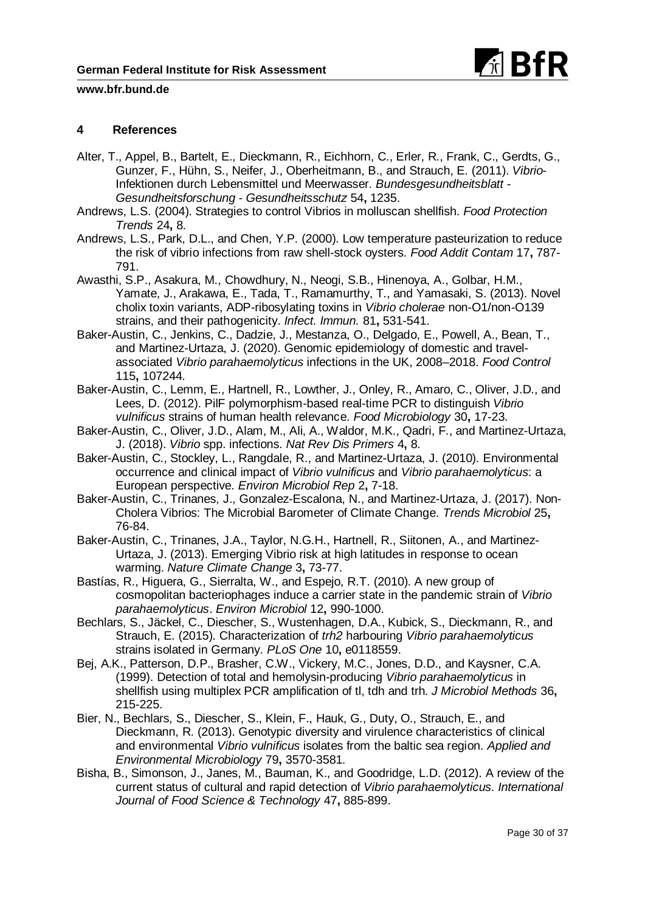

## **4 References**

- Alter, T., Appel, B., Bartelt, E., Dieckmann, R., Eichhorn, C., Erler, R., Frank, C., Gerdts, G., Gunzer, F., Hühn, S., Neifer, J., Oberheitmann, B., and Strauch, E. (2011). *Vibrio*-Infektionen durch Lebensmittel und Meerwasser. *Bundesgesundheitsblatt - Gesundheitsforschung - Gesundheitsschutz* 54**,** 1235.
- Andrews, L.S. (2004). Strategies to control Vibrios in molluscan shellfish. *Food Protection Trends* 24**,** 8.
- Andrews, L.S., Park, D.L., and Chen, Y.P. (2000). Low temperature pasteurization to reduce the risk of vibrio infections from raw shell-stock oysters. *Food Addit Contam* 17**,** 787- 791.
- Awasthi, S.P., Asakura, M., Chowdhury, N., Neogi, S.B., Hinenoya, A., Golbar, H.M., Yamate, J., Arakawa, E., Tada, T., Ramamurthy, T., and Yamasaki, S. (2013). Novel cholix toxin variants, ADP-ribosylating toxins in *Vibrio cholerae* non-O1/non-O139 strains, and their pathogenicity. *Infect. Immun.* 81**,** 531-541.
- Baker-Austin, C., Jenkins, C., Dadzie, J., Mestanza, O., Delgado, E., Powell, A., Bean, T., and Martinez-Urtaza, J. (2020). Genomic epidemiology of domestic and travelassociated *Vibrio parahaemolyticus* infections in the UK, 2008–2018. *Food Control* 115**,** 107244.
- Baker-Austin, C., Lemm, E., Hartnell, R., Lowther, J., Onley, R., Amaro, C., Oliver, J.D., and Lees, D. (2012). PilF polymorphism-based real-time PCR to distinguish *Vibrio vulnificus* strains of human health relevance. *Food Microbiology* 30**,** 17-23.
- Baker-Austin, C., Oliver, J.D., Alam, M., Ali, A., Waldor, M.K., Qadri, F., and Martinez-Urtaza, J. (2018). *Vibrio* spp. infections. *Nat Rev Dis Primers* 4**,** 8.
- Baker-Austin, C., Stockley, L., Rangdale, R., and Martinez-Urtaza, J. (2010). Environmental occurrence and clinical impact of *Vibrio vulnificus* and *Vibrio parahaemolyticus*: a European perspective. *Environ Microbiol Rep* 2**,** 7-18.
- Baker-Austin, C., Trinanes, J., Gonzalez-Escalona, N., and Martinez-Urtaza, J. (2017). Non-Cholera Vibrios: The Microbial Barometer of Climate Change. *Trends Microbiol* 25**,** 76-84.
- Baker-Austin, C., Trinanes, J.A., Taylor, N.G.H., Hartnell, R., Siitonen, A., and Martinez-Urtaza, J. (2013). Emerging Vibrio risk at high latitudes in response to ocean warming. *Nature Climate Change* 3**,** 73-77.
- Bastías, R., Higuera, G., Sierralta, W., and Espejo, R.T. (2010). A new group of cosmopolitan bacteriophages induce a carrier state in the pandemic strain of *Vibrio parahaemolyticus*. *Environ Microbiol* 12**,** 990-1000.
- Bechlars, S., Jäckel, C., Diescher, S., Wustenhagen, D.A., Kubick, S., Dieckmann, R., and Strauch, E. (2015). Characterization of *trh2* harbouring *Vibrio parahaemolyticus* strains isolated in Germany. *PLoS One* 10**,** e0118559.
- Bej, A.K., Patterson, D.P., Brasher, C.W., Vickery, M.C., Jones, D.D., and Kaysner, C.A. (1999). Detection of total and hemolysin-producing *Vibrio parahaemolyticus* in shellfish using multiplex PCR amplification of tl, tdh and trh. *J Microbiol Methods* 36**,** 215-225.
- Bier, N., Bechlars, S., Diescher, S., Klein, F., Hauk, G., Duty, O., Strauch, E., and Dieckmann, R. (2013). Genotypic diversity and virulence characteristics of clinical and environmental *Vibrio vulnificus* isolates from the baltic sea region. *Applied and Environmental Microbiology* 79**,** 3570-3581.
- Bisha, B., Simonson, J., Janes, M., Bauman, K., and Goodridge, L.D. (2012). A review of the current status of cultural and rapid detection of *Vibrio parahaemolyticus*. *International Journal of Food Science & Technology* 47**,** 885-899.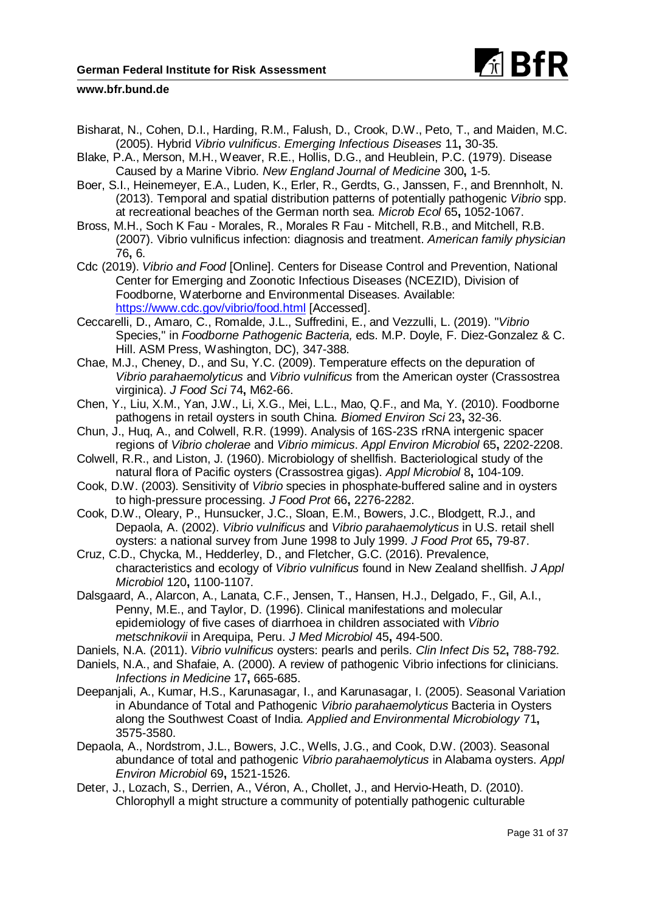

- Bisharat, N., Cohen, D.I., Harding, R.M., Falush, D., Crook, D.W., Peto, T., and Maiden, M.C. (2005). Hybrid *Vibrio vulnificus*. *Emerging Infectious Diseases* 11**,** 30-35.
- Blake, P.A., Merson, M.H., Weaver, R.E., Hollis, D.G., and Heublein, P.C. (1979). Disease Caused by a Marine Vibrio. *New England Journal of Medicine* 300**,** 1-5.
- Boer, S.I., Heinemeyer, E.A., Luden, K., Erler, R., Gerdts, G., Janssen, F., and Brennholt, N. (2013). Temporal and spatial distribution patterns of potentially pathogenic *Vibrio* spp. at recreational beaches of the German north sea. *Microb Ecol* 65**,** 1052-1067.
- Bross, M.H., Soch K Fau Morales, R., Morales R Fau Mitchell, R.B., and Mitchell, R.B. (2007). Vibrio vulnificus infection: diagnosis and treatment. *American family physician* 76**,** 6.
- Cdc (2019). *Vibrio and Food* [Online]. Centers for Disease Control and Prevention, National Center for Emerging and Zoonotic Infectious Diseases (NCEZID), Division of Foodborne, Waterborne and Environmental Diseases. Available: <https://www.cdc.gov/vibrio/food.html> [Accessed].
- Ceccarelli, D., Amaro, C., Romalde, J.L., Suffredini, E., and Vezzulli, L. (2019). "*Vibrio* Species," in *Foodborne Pathogenic Bacteria,* eds. M.P. Doyle, F. Diez-Gonzalez & C. Hill. ASM Press, Washington, DC), 347-388.
- Chae, M.J., Cheney, D., and Su, Y.C. (2009). Temperature effects on the depuration of *Vibrio parahaemolyticus* and *Vibrio vulnificus* from the American oyster (Crassostrea virginica). *J Food Sci* 74**,** M62-66.
- Chen, Y., Liu, X.M., Yan, J.W., Li, X.G., Mei, L.L., Mao, Q.F., and Ma, Y. (2010). Foodborne pathogens in retail oysters in south China. *Biomed Environ Sci* 23**,** 32-36.
- Chun, J., Huq, A., and Colwell, R.R. (1999). Analysis of 16S-23S rRNA intergenic spacer regions of *Vibrio cholerae* and *Vibrio mimicus*. *Appl Environ Microbiol* 65**,** 2202-2208.
- Colwell, R.R., and Liston, J. (1960). Microbiology of shellfish. Bacteriological study of the natural flora of Pacific oysters (Crassostrea gigas). *Appl Microbiol* 8**,** 104-109.
- Cook, D.W. (2003). Sensitivity of *Vibrio* species in phosphate-buffered saline and in oysters to high-pressure processing. *J Food Prot* 66**,** 2276-2282.
- Cook, D.W., Oleary, P., Hunsucker, J.C., Sloan, E.M., Bowers, J.C., Blodgett, R.J., and Depaola, A. (2002). *Vibrio vulnificus* and *Vibrio parahaemolyticus* in U.S. retail shell oysters: a national survey from June 1998 to July 1999. *J Food Prot* 65**,** 79-87.
- Cruz, C.D., Chycka, M., Hedderley, D., and Fletcher, G.C. (2016). Prevalence, characteristics and ecology of *Vibrio vulnificus* found in New Zealand shellfish. *J Appl Microbiol* 120**,** 1100-1107.
- Dalsgaard, A., Alarcon, A., Lanata, C.F., Jensen, T., Hansen, H.J., Delgado, F., Gil, A.I., Penny, M.E., and Taylor, D. (1996). Clinical manifestations and molecular epidemiology of five cases of diarrhoea in children associated with *Vibrio metschnikovii* in Arequipa, Peru. *J Med Microbiol* 45**,** 494-500.
- Daniels, N.A. (2011). *Vibrio vulnificus* oysters: pearls and perils. *Clin Infect Dis* 52**,** 788-792.
- Daniels, N.A., and Shafaie, A. (2000). A review of pathogenic Vibrio infections for clinicians. *Infections in Medicine* 17**,** 665-685.
- Deepanjali, A., Kumar, H.S., Karunasagar, I., and Karunasagar, I. (2005). Seasonal Variation in Abundance of Total and Pathogenic *Vibrio parahaemolyticus* Bacteria in Oysters along the Southwest Coast of India. *Applied and Environmental Microbiology* 71**,** 3575-3580.
- Depaola, A., Nordstrom, J.L., Bowers, J.C., Wells, J.G., and Cook, D.W. (2003). Seasonal abundance of total and pathogenic *Vibrio parahaemolyticus* in Alabama oysters. *Appl Environ Microbiol* 69**,** 1521-1526.
- Deter, J., Lozach, S., Derrien, A., Véron, A., Chollet, J., and Hervio-Heath, D. (2010). Chlorophyll a might structure a community of potentially pathogenic culturable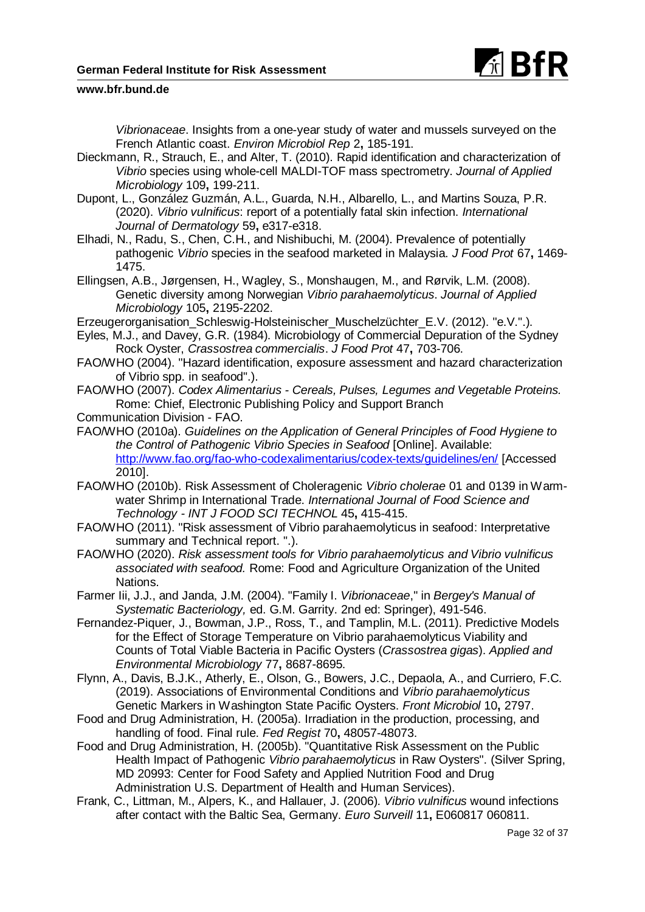

*Vibrionaceae*. Insights from a one-year study of water and mussels surveyed on the French Atlantic coast. *Environ Microbiol Rep* 2**,** 185-191.

- Dieckmann, R., Strauch, E., and Alter, T. (2010). Rapid identification and characterization of *Vibrio* species using whole-cell MALDI-TOF mass spectrometry. *Journal of Applied Microbiology* 109**,** 199-211.
- Dupont, L., González Guzmán, A.L., Guarda, N.H., Albarello, L., and Martins Souza, P.R. (2020). *Vibrio vulnificus*: report of a potentially fatal skin infection. *International Journal of Dermatology* 59**,** e317-e318.
- Elhadi, N., Radu, S., Chen, C.H., and Nishibuchi, M. (2004). Prevalence of potentially pathogenic *Vibrio* species in the seafood marketed in Malaysia. *J Food Prot* 67**,** 1469- 1475.
- Ellingsen, A.B., Jørgensen, H., Wagley, S., Monshaugen, M., and Rørvik, L.M. (2008). Genetic diversity among Norwegian *Vibrio parahaemolyticus*. *Journal of Applied Microbiology* 105**,** 2195-2202.
- Erzeugerorganisation\_Schleswig-Holsteinischer\_Muschelzüchter\_E.V. (2012). "e.V.".).
- Eyles, M.J., and Davey, G.R. (1984). Microbiology of Commercial Depuration of the Sydney Rock Oyster, *Crassostrea commercialis*. *J Food Prot* 47**,** 703-706.
- FAO/WHO (2004). "Hazard identification, exposure assessment and hazard characterization of Vibrio spp. in seafood".).
- FAO/WHO (2007). *Codex Alimentarius - Cereals, Pulses, Legumes and Vegetable Proteins.*  Rome: Chief, Electronic Publishing Policy and Support Branch
- Communication Division FAO.
- FAO/WHO (2010a). *Guidelines on the Application of General Principles of Food Hygiene to the Control of Pathogenic Vibrio Species in Seafood* [Online]. Available: <http://www.fao.org/fao-who-codexalimentarius/codex-texts/guidelines/en/> [Accessed 2010].
- FAO/WHO (2010b). Risk Assessment of Choleragenic *Vibrio cholerae* 01 and 0139 in Warmwater Shrimp in International Trade. *International Journal of Food Science and Technology - INT J FOOD SCI TECHNOL* 45**,** 415-415.
- FAO/WHO (2011). "Risk assessment of Vibrio parahaemolyticus in seafood: Interpretative summary and Technical report. ".).
- FAO/WHO (2020). *Risk assessment tools for Vibrio parahaemolyticus and Vibrio vulnificus associated with seafood.* Rome: Food and Agriculture Organization of the United Nations.
- Farmer Iii, J.J., and Janda, J.M. (2004). "Family I. *Vibrionaceae*," in *Bergey's Manual of Systematic Bacteriology,* ed. G.M. Garrity. 2nd ed: Springer), 491-546.
- Fernandez-Piquer, J., Bowman, J.P., Ross, T., and Tamplin, M.L. (2011). Predictive Models for the Effect of Storage Temperature on Vibrio parahaemolyticus Viability and Counts of Total Viable Bacteria in Pacific Oysters (*Crassostrea gigas*). *Applied and Environmental Microbiology* 77**,** 8687-8695.
- Flynn, A., Davis, B.J.K., Atherly, E., Olson, G., Bowers, J.C., Depaola, A., and Curriero, F.C. (2019). Associations of Environmental Conditions and *Vibrio parahaemolyticus* Genetic Markers in Washington State Pacific Oysters. *Front Microbiol* 10**,** 2797.
- Food and Drug Administration, H. (2005a). Irradiation in the production, processing, and handling of food. Final rule. *Fed Regist* 70**,** 48057-48073.
- Food and Drug Administration, H. (2005b). "Quantitative Risk Assessment on the Public Health Impact of Pathogenic *Vibrio parahaemolyticus* in Raw Oysters". (Silver Spring, MD 20993: Center for Food Safety and Applied Nutrition Food and Drug Administration U.S. Department of Health and Human Services).
- Frank, C., Littman, M., Alpers, K., and Hallauer, J. (2006). *Vibrio vulnificus* wound infections after contact with the Baltic Sea, Germany. *Euro Surveill* 11**,** E060817 060811.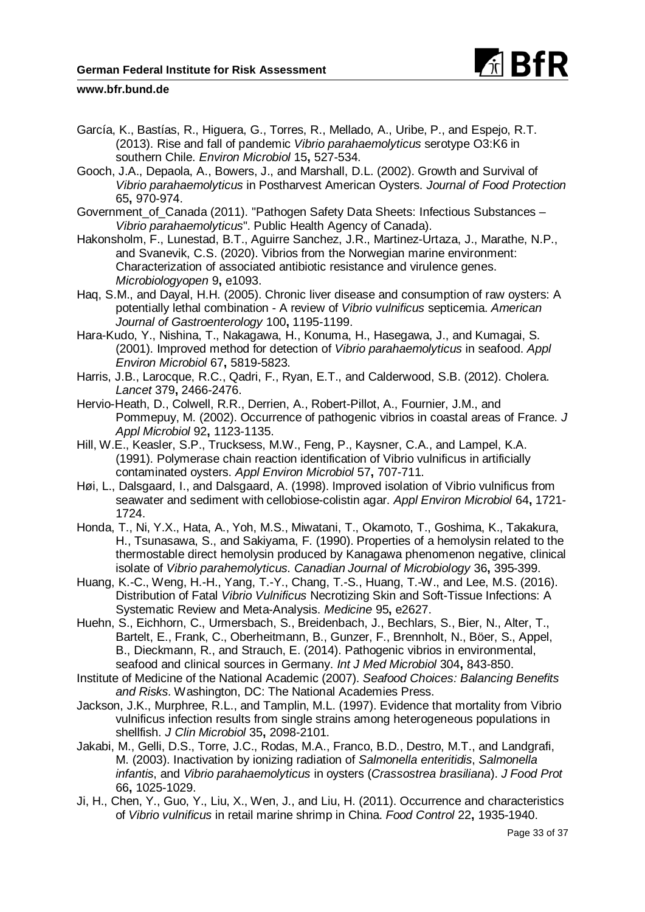

- García, K., Bastías, R., Higuera, G., Torres, R., Mellado, A., Uribe, P., and Espejo, R.T. (2013). Rise and fall of pandemic *Vibrio parahaemolyticus* serotype O3:K6 in southern Chile. *Environ Microbiol* 15**,** 527-534.
- Gooch, J.A., Depaola, A., Bowers, J., and Marshall, D.L. (2002). Growth and Survival of *Vibrio parahaemolyticus* in Postharvest American Oysters. *Journal of Food Protection* 65**,** 970-974.
- Government of Canada (2011). "Pathogen Safety Data Sheets: Infectious Substances *Vibrio parahaemolyticus*". Public Health Agency of Canada).
- Hakonsholm, F., Lunestad, B.T., Aguirre Sanchez, J.R., Martinez-Urtaza, J., Marathe, N.P., and Svanevik, C.S. (2020). Vibrios from the Norwegian marine environment: Characterization of associated antibiotic resistance and virulence genes. *Microbiologyopen* 9**,** e1093.
- Haq, S.M., and Dayal, H.H. (2005). Chronic liver disease and consumption of raw oysters: A potentially lethal combination - A review of *Vibrio vulnificus* septicemia. *American Journal of Gastroenterology* 100**,** 1195-1199.
- Hara-Kudo, Y., Nishina, T., Nakagawa, H., Konuma, H., Hasegawa, J., and Kumagai, S. (2001). Improved method for detection of *Vibrio parahaemolyticus* in seafood. *Appl Environ Microbiol* 67**,** 5819-5823.
- Harris, J.B., Larocque, R.C., Qadri, F., Ryan, E.T., and Calderwood, S.B. (2012). Cholera. *Lancet* 379**,** 2466-2476.
- Hervio-Heath, D., Colwell, R.R., Derrien, A., Robert-Pillot, A., Fournier, J.M., and Pommepuy, M. (2002). Occurrence of pathogenic vibrios in coastal areas of France. *J Appl Microbiol* 92**,** 1123-1135.
- Hill, W.E., Keasler, S.P., Trucksess, M.W., Feng, P., Kaysner, C.A., and Lampel, K.A. (1991). Polymerase chain reaction identification of Vibrio vulnificus in artificially contaminated oysters. *Appl Environ Microbiol* 57**,** 707-711.
- Høi, L., Dalsgaard, I., and Dalsgaard, A. (1998). Improved isolation of Vibrio vulnificus from seawater and sediment with cellobiose-colistin agar. *Appl Environ Microbiol* 64**,** 1721- 1724.
- Honda, T., Ni, Y.X., Hata, A., Yoh, M.S., Miwatani, T., Okamoto, T., Goshima, K., Takakura, H., Tsunasawa, S., and Sakiyama, F. (1990). Properties of a hemolysin related to the thermostable direct hemolysin produced by Kanagawa phenomenon negative, clinical isolate of *Vibrio parahemolyticus*. *Canadian Journal of Microbiology* 36**,** 395-399.
- Huang, K.-C., Weng, H.-H., Yang, T.-Y., Chang, T.-S., Huang, T.-W., and Lee, M.S. (2016). Distribution of Fatal *Vibrio Vulnificus* Necrotizing Skin and Soft-Tissue Infections: A Systematic Review and Meta-Analysis. *Medicine* 95**,** e2627.
- Huehn, S., Eichhorn, C., Urmersbach, S., Breidenbach, J., Bechlars, S., Bier, N., Alter, T., Bartelt, E., Frank, C., Oberheitmann, B., Gunzer, F., Brennholt, N., Böer, S., Appel, B., Dieckmann, R., and Strauch, E. (2014). Pathogenic vibrios in environmental, seafood and clinical sources in Germany. *Int J Med Microbiol* 304**,** 843-850.
- Institute of Medicine of the National Academic (2007). *Seafood Choices: Balancing Benefits and Risks.* Washington, DC: The National Academies Press.
- Jackson, J.K., Murphree, R.L., and Tamplin, M.L. (1997). Evidence that mortality from Vibrio vulnificus infection results from single strains among heterogeneous populations in shellfish. *J Clin Microbiol* 35**,** 2098-2101.
- Jakabi, M., Gelli, D.S., Torre, J.C., Rodas, M.A., Franco, B.D., Destro, M.T., and Landgrafi, M. (2003). Inactivation by ionizing radiation of *Salmonella enteritidis*, *Salmonella infantis*, and *Vibrio parahaemolyticus* in oysters (*Crassostrea brasiliana*). *J Food Prot* 66**,** 1025-1029.
- Ji, H., Chen, Y., Guo, Y., Liu, X., Wen, J., and Liu, H. (2011). Occurrence and characteristics of *Vibrio vulnificus* in retail marine shrimp in China. *Food Control* 22**,** 1935-1940.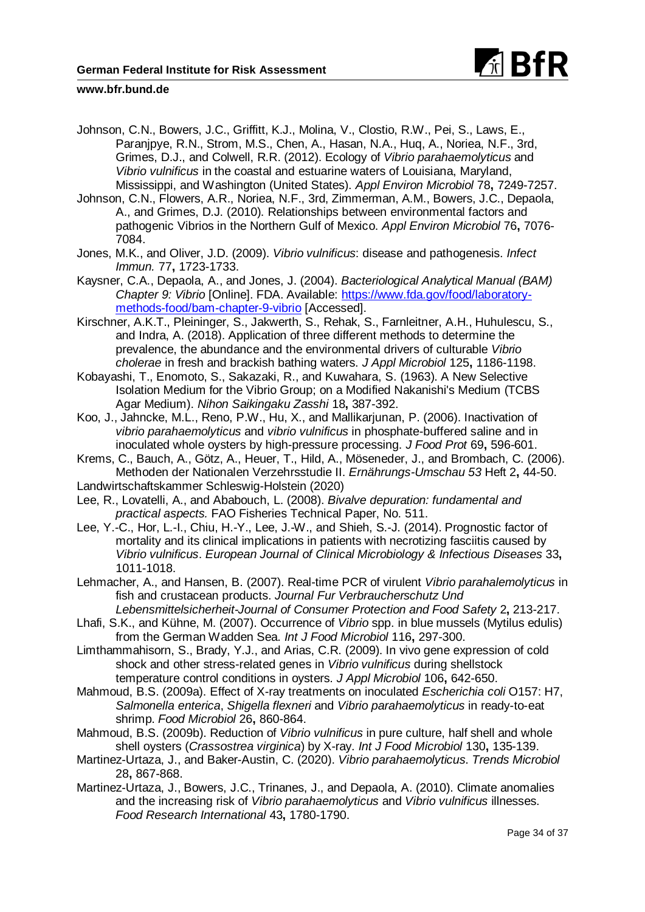

- Johnson, C.N., Bowers, J.C., Griffitt, K.J., Molina, V., Clostio, R.W., Pei, S., Laws, E., Paranjpye, R.N., Strom, M.S., Chen, A., Hasan, N.A., Huq, A., Noriea, N.F., 3rd, Grimes, D.J., and Colwell, R.R. (2012). Ecology of *Vibrio parahaemolyticus* and *Vibrio vulnificus* in the coastal and estuarine waters of Louisiana, Maryland, Mississippi, and Washington (United States). *Appl Environ Microbiol* 78**,** 7249-7257.
- Johnson, C.N., Flowers, A.R., Noriea, N.F., 3rd, Zimmerman, A.M., Bowers, J.C., Depaola, A., and Grimes, D.J. (2010). Relationships between environmental factors and pathogenic Vibrios in the Northern Gulf of Mexico. *Appl Environ Microbiol* 76**,** 7076- 7084.
- Jones, M.K., and Oliver, J.D. (2009). *Vibrio vulnificus*: disease and pathogenesis. *Infect Immun.* 77**,** 1723-1733.
- Kaysner, C.A., Depaola, A., and Jones, J. (2004). *Bacteriological Analytical Manual (BAM) Chapter 9: Vibrio* [Online]. FDA. Available: [https://www.fda.gov/food/laboratory](https://www.fda.gov/food/laboratory-methods-food/bam-chapter-9-vibrio)[methods-food/bam-chapter-9-vibrio](https://www.fda.gov/food/laboratory-methods-food/bam-chapter-9-vibrio) [Accessed].
- Kirschner, A.K.T., Pleininger, S., Jakwerth, S., Rehak, S., Farnleitner, A.H., Huhulescu, S., and Indra, A. (2018). Application of three different methods to determine the prevalence, the abundance and the environmental drivers of culturable *Vibrio cholerae* in fresh and brackish bathing waters. *J Appl Microbiol* 125**,** 1186-1198.
- Kobayashi, T., Enomoto, S., Sakazaki, R., and Kuwahara, S. (1963). A New Selective Isolation Medium for the Vibrio Group; on a Modified Nakanishi's Medium (TCBS Agar Medium). *Nihon Saikingaku Zasshi* 18**,** 387-392.
- Koo, J., Jahncke, M.L., Reno, P.W., Hu, X., and Mallikarjunan, P. (2006). Inactivation of *vibrio parahaemolyticus* and *vibrio vulnificus* in phosphate-buffered saline and in inoculated whole oysters by high-pressure processing. *J Food Prot* 69**,** 596-601.
- Krems, C., Bauch, A., Götz, A., Heuer, T., Hild, A., Möseneder, J., and Brombach, C. (2006). Methoden der Nationalen Verzehrsstudie II. *Ernährungs-Umschau 53* Heft 2**,** 44-50.
- Landwirtschaftskammer Schleswig-Holstein (2020)
- Lee, R., Lovatelli, A., and Ababouch, L. (2008). *Bivalve depuration: fundamental and practical aspects.* FAO Fisheries Technical Paper, No. 511.
- Lee, Y.-C., Hor, L.-I., Chiu, H.-Y., Lee, J.-W., and Shieh, S.-J. (2014). Prognostic factor of mortality and its clinical implications in patients with necrotizing fasciitis caused by *Vibrio vulnificus*. *European Journal of Clinical Microbiology & Infectious Diseases* 33**,** 1011-1018.
- Lehmacher, A., and Hansen, B. (2007). Real-time PCR of virulent *Vibrio parahalemolyticus* in fish and crustacean products. *Journal Fur Verbraucherschutz Und Lebensmittelsicherheit-Journal of Consumer Protection and Food Safety* 2**,** 213-217.
- Lhafi, S.K., and Kühne, M. (2007). Occurrence of *Vibrio* spp. in blue mussels (Mytilus edulis) from the German Wadden Sea. *Int J Food Microbiol* 116**,** 297-300.
- Limthammahisorn, S., Brady, Y.J., and Arias, C.R. (2009). In vivo gene expression of cold shock and other stress-related genes in *Vibrio vulnificus* during shellstock temperature control conditions in oysters. *J Appl Microbiol* 106**,** 642-650.
- Mahmoud, B.S. (2009a). Effect of X-ray treatments on inoculated *Escherichia coli* O157: H7, *Salmonella enterica*, *Shigella flexneri* and *Vibrio parahaemolyticus* in ready-to-eat shrimp. *Food Microbiol* 26**,** 860-864.
- Mahmoud, B.S. (2009b). Reduction of *Vibrio vulnificus* in pure culture, half shell and whole shell oysters (*Crassostrea virginica*) by X-ray. *Int J Food Microbiol* 130**,** 135-139.
- Martinez-Urtaza, J., and Baker-Austin, C. (2020). *Vibrio parahaemolyticus*. *Trends Microbiol* 28**,** 867-868.
- Martinez-Urtaza, J., Bowers, J.C., Trinanes, J., and Depaola, A. (2010). Climate anomalies and the increasing risk of *Vibrio parahaemolyticus* and *Vibrio vulnificus* illnesses. *Food Research International* 43**,** 1780-1790.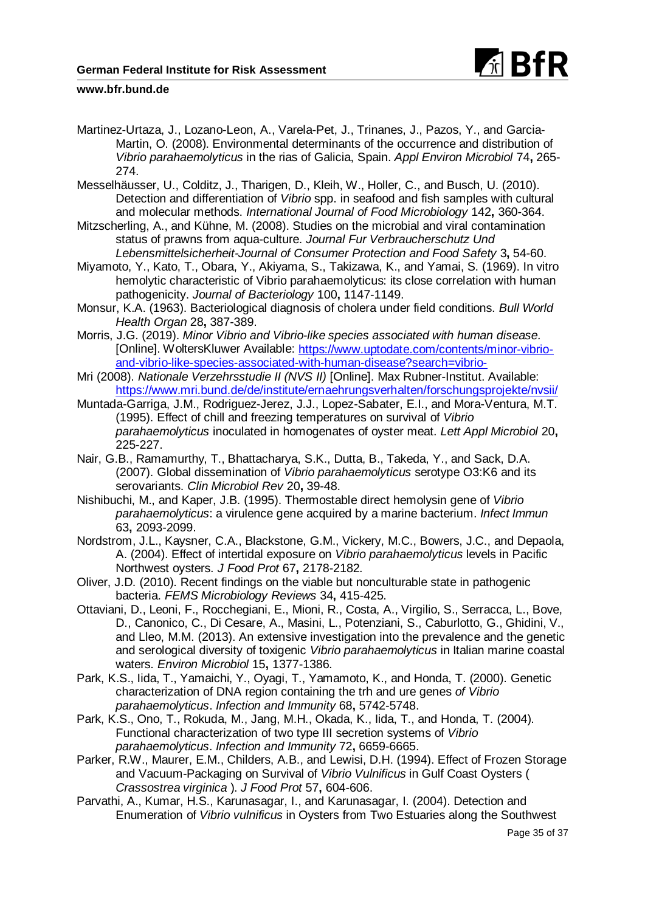

Martinez-Urtaza, J., Lozano-Leon, A., Varela-Pet, J., Trinanes, J., Pazos, Y., and Garcia-Martin, O. (2008). Environmental determinants of the occurrence and distribution of *Vibrio parahaemolyticus* in the rias of Galicia, Spain. *Appl Environ Microbiol* 74**,** 265- 274.

Messelhäusser, U., Colditz, J., Tharigen, D., Kleih, W., Holler, C., and Busch, U. (2010). Detection and differentiation of *Vibrio* spp. in seafood and fish samples with cultural and molecular methods. *International Journal of Food Microbiology* 142**,** 360-364.

Mitzscherling, A., and Kühne, M. (2008). Studies on the microbial and viral contamination status of prawns from aqua-culture. *Journal Fur Verbraucherschutz Und Lebensmittelsicherheit-Journal of Consumer Protection and Food Safety* 3**,** 54-60.

Miyamoto, Y., Kato, T., Obara, Y., Akiyama, S., Takizawa, K., and Yamai, S. (1969). In vitro hemolytic characteristic of Vibrio parahaemolyticus: its close correlation with human pathogenicity. *Journal of Bacteriology* 100**,** 1147-1149.

Monsur, K.A. (1963). Bacteriological diagnosis of cholera under field conditions. *Bull World Health Organ* 28**,** 387-389.

Morris, J.G. (2019). *Minor Vibrio and Vibrio-like species associated with human disease.*  [Online]. WoltersKluwer Available: [https://www.uptodate.com/contents/minor-vibrio](https://www.uptodate.com/contents/minor-vibrio-and-vibrio-like-species-associated-with-human-disease?search=vibrio-)[and-vibrio-like-species-associated-with-human-disease?search=vibrio-](https://www.uptodate.com/contents/minor-vibrio-and-vibrio-like-species-associated-with-human-disease?search=vibrio-)

Mri (2008). *Nationale Verzehrsstudie II (NVS II)* [Online]. Max Rubner-Institut. Available: <https://www.mri.bund.de/de/institute/ernaehrungsverhalten/forschungsprojekte/nvsii/>

Muntada-Garriga, J.M., Rodriguez-Jerez, J.J., Lopez-Sabater, E.I., and Mora-Ventura, M.T. (1995). Effect of chill and freezing temperatures on survival of *Vibrio parahaemolyticus* inoculated in homogenates of oyster meat. *Lett Appl Microbiol* 20**,** 225-227.

Nair, G.B., Ramamurthy, T., Bhattacharya, S.K., Dutta, B., Takeda, Y., and Sack, D.A. (2007). Global dissemination of *Vibrio parahaemolyticus* serotype O3:K6 and its serovariants. *Clin Microbiol Rev* 20**,** 39-48.

Nishibuchi, M., and Kaper, J.B. (1995). Thermostable direct hemolysin gene of *Vibrio parahaemolyticus*: a virulence gene acquired by a marine bacterium. *Infect Immun* 63**,** 2093-2099.

Nordstrom, J.L., Kaysner, C.A., Blackstone, G.M., Vickery, M.C., Bowers, J.C., and Depaola, A. (2004). Effect of intertidal exposure on *Vibrio parahaemolyticus* levels in Pacific Northwest oysters. *J Food Prot* 67**,** 2178-2182.

Oliver, J.D. (2010). Recent findings on the viable but nonculturable state in pathogenic bacteria. *FEMS Microbiology Reviews* 34**,** 415-425.

Ottaviani, D., Leoni, F., Rocchegiani, E., Mioni, R., Costa, A., Virgilio, S., Serracca, L., Bove, D., Canonico, C., Di Cesare, A., Masini, L., Potenziani, S., Caburlotto, G., Ghidini, V., and Lleo, M.M. (2013). An extensive investigation into the prevalence and the genetic and serological diversity of toxigenic *Vibrio parahaemolyticus* in Italian marine coastal waters. *Environ Microbiol* 15**,** 1377-1386.

Park, K.S., Iida, T., Yamaichi, Y., Oyagi, T., Yamamoto, K., and Honda, T. (2000). Genetic characterization of DNA region containing the trh and ure genes *of Vibrio parahaemolyticus*. *Infection and Immunity* 68**,** 5742-5748.

Park, K.S., Ono, T., Rokuda, M., Jang, M.H., Okada, K., Iida, T., and Honda, T. (2004). Functional characterization of two type III secretion systems of *Vibrio parahaemolyticus*. *Infection and Immunity* 72**,** 6659-6665.

Parker, R.W., Maurer, E.M., Childers, A.B., and Lewisi, D.H. (1994). Effect of Frozen Storage and Vacuum-Packaging on Survival of *Vibrio Vulnificus* in Gulf Coast Oysters ( *Crassostrea virginica* ). *J Food Prot* 57**,** 604-606.

Parvathi, A., Kumar, H.S., Karunasagar, I., and Karunasagar, I. (2004). Detection and Enumeration of *Vibrio vulnificus* in Oysters from Two Estuaries along the Southwest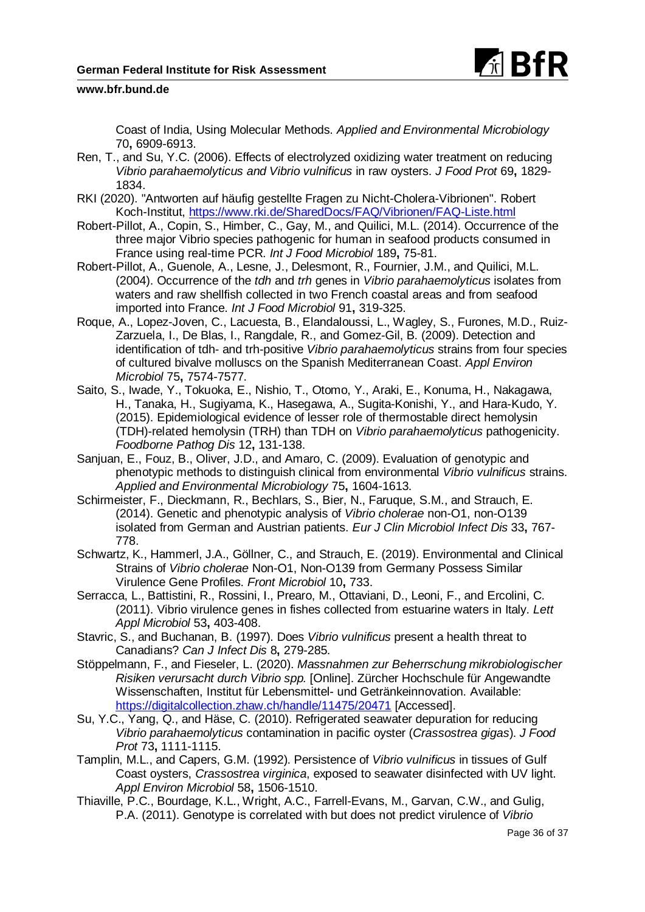

Coast of India, Using Molecular Methods. *Applied and Environmental Microbiology* 70**,** 6909-6913.

- Ren, T., and Su, Y.C. (2006). Effects of electrolyzed oxidizing water treatment on reducing *Vibrio parahaemolyticus and Vibrio vulnificus* in raw oysters. *J Food Prot* 69**,** 1829- 1834.
- RKI (2020). "Antworten auf häufig gestellte Fragen zu Nicht-Cholera-Vibrionen". Robert Koch-Institut,<https://www.rki.de/SharedDocs/FAQ/Vibrionen/FAQ-Liste.html>
- Robert-Pillot, A., Copin, S., Himber, C., Gay, M., and Quilici, M.L. (2014). Occurrence of the three major Vibrio species pathogenic for human in seafood products consumed in France using real-time PCR. *Int J Food Microbiol* 189**,** 75-81.
- Robert-Pillot, A., Guenole, A., Lesne, J., Delesmont, R., Fournier, J.M., and Quilici, M.L. (2004). Occurrence of the *tdh* and *trh* genes in *Vibrio parahaemolyticus* isolates from waters and raw shellfish collected in two French coastal areas and from seafood imported into France. *Int J Food Microbiol* 91**,** 319-325.
- Roque, A., Lopez-Joven, C., Lacuesta, B., Elandaloussi, L., Wagley, S., Furones, M.D., Ruiz-Zarzuela, I., De Blas, I., Rangdale, R., and Gomez-Gil, B. (2009). Detection and identification of tdh- and trh-positive *Vibrio parahaemolyticus* strains from four species of cultured bivalve molluscs on the Spanish Mediterranean Coast. *Appl Environ Microbiol* 75**,** 7574-7577.
- Saito, S., Iwade, Y., Tokuoka, E., Nishio, T., Otomo, Y., Araki, E., Konuma, H., Nakagawa, H., Tanaka, H., Sugiyama, K., Hasegawa, A., Sugita-Konishi, Y., and Hara-Kudo, Y. (2015). Epidemiological evidence of lesser role of thermostable direct hemolysin (TDH)-related hemolysin (TRH) than TDH on *Vibrio parahaemolyticus* pathogenicity. *Foodborne Pathog Dis* 12**,** 131-138.
- Sanjuan, E., Fouz, B., Oliver, J.D., and Amaro, C. (2009). Evaluation of genotypic and phenotypic methods to distinguish clinical from environmental *Vibrio vulnificus* strains. *Applied and Environmental Microbiology* 75**,** 1604-1613.
- Schirmeister, F., Dieckmann, R., Bechlars, S., Bier, N., Faruque, S.M., and Strauch, E. (2014). Genetic and phenotypic analysis of *Vibrio cholerae* non-O1, non-O139 isolated from German and Austrian patients. *Eur J Clin Microbiol Infect Dis* 33**,** 767- 778.
- Schwartz, K., Hammerl, J.A., Göllner, C., and Strauch, E. (2019). Environmental and Clinical Strains of *Vibrio cholerae* Non-O1, Non-O139 from Germany Possess Similar Virulence Gene Profiles. *Front Microbiol* 10**,** 733.
- Serracca, L., Battistini, R., Rossini, I., Prearo, M., Ottaviani, D., Leoni, F., and Ercolini, C. (2011). Vibrio virulence genes in fishes collected from estuarine waters in Italy. *Lett Appl Microbiol* 53**,** 403-408.
- Stavric, S., and Buchanan, B. (1997). Does *Vibrio vulnificus* present a health threat to Canadians? *Can J Infect Dis* 8**,** 279-285.
- Stöppelmann, F., and Fieseler, L. (2020). *Massnahmen zur Beherrschung mikrobiologischer Risiken verursacht durch Vibrio spp.* [Online]. Zürcher Hochschule für Angewandte Wissenschaften, Institut für Lebensmittel- und Getränkeinnovation. Available: <https://digitalcollection.zhaw.ch/handle/11475/20471> [Accessed].
- Su, Y.C., Yang, Q., and Häse, C. (2010). Refrigerated seawater depuration for reducing *Vibrio parahaemolyticus* contamination in pacific oyster (*Crassostrea gigas*). *J Food Prot* 73**,** 1111-1115.
- Tamplin, M.L., and Capers, G.M. (1992). Persistence of *Vibrio vulnificus* in tissues of Gulf Coast oysters, *Crassostrea virginica*, exposed to seawater disinfected with UV light. *Appl Environ Microbiol* 58**,** 1506-1510.
- Thiaville, P.C., Bourdage, K.L., Wright, A.C., Farrell-Evans, M., Garvan, C.W., and Gulig, P.A. (2011). Genotype is correlated with but does not predict virulence of *Vibrio*